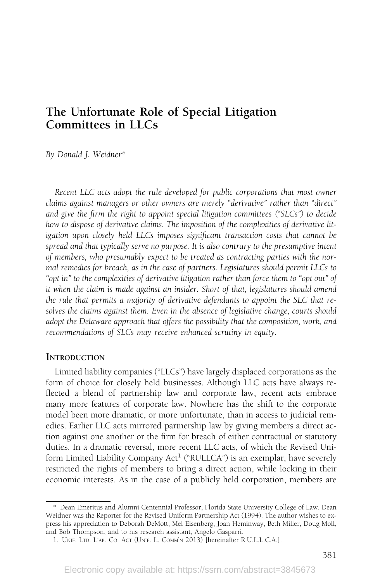# The Unfortunate Role of Special Litigation Committees in LLCs

By Donald J. Weidner\*

Recent LLC acts adopt the rule developed for public corporations that most owner claims against managers or other owners are merely "derivative" rather than "direct" and give the firm the right to appoint special litigation committees ("SLCs") to decide how to dispose of derivative claims. The imposition of the complexities of derivative litigation upon closely held LLCs imposes significant transaction costs that cannot be spread and that typically serve no purpose. It is also contrary to the presumptive intent of members, who presumably expect to be treated as contracting parties with the normal remedies for breach, as in the case of partners. Legislatures should permit LLCs to "opt in" to the complexities of derivative litigation rather than force them to "opt out" of it when the claim is made against an insider. Short of that, legislatures should amend the rule that permits a majority of derivative defendants to appoint the SLC that resolves the claims against them. Even in the absence of legislative change, courts should adopt the Delaware approach that offers the possibility that the composition, work, and recommendations of SLCs may receive enhanced scrutiny in equity.

#### **INTRODUCTION**

Limited liability companies ("LLCs") have largely displaced corporations as the form of choice for closely held businesses. Although LLC acts have always reflected a blend of partnership law and corporate law, recent acts embrace many more features of corporate law. Nowhere has the shift to the corporate model been more dramatic, or more unfortunate, than in access to judicial remedies. Earlier LLC acts mirrored partnership law by giving members a direct action against one another or the firm for breach of either contractual or statutory duties. In a dramatic reversal, more recent LLC acts, of which the Revised Uniform Limited Liability Company Act<sup>1</sup> ("RULLCA") is an exemplar, have severely restricted the rights of members to bring a direct action, while locking in their economic interests. As in the case of a publicly held corporation, members are

<sup>\*</sup> Dean Emeritus and Alumni Centennial Professor, Florida State University College of Law. Dean Weidner was the Reporter for the Revised Uniform Partnership Act (1994). The author wishes to express his appreciation to Deborah DeMott, Mel Eisenberg, Joan Heminway, Beth Miller, Doug Moll, and Bob Thompson, and to his research assistant, Angelo Gasparri.

<sup>1.</sup> UNIF. LTD. LIAB. CO. ACT (UNIF. L. COMM'N 2013) [hereinafter R.U.L.L.C.A.].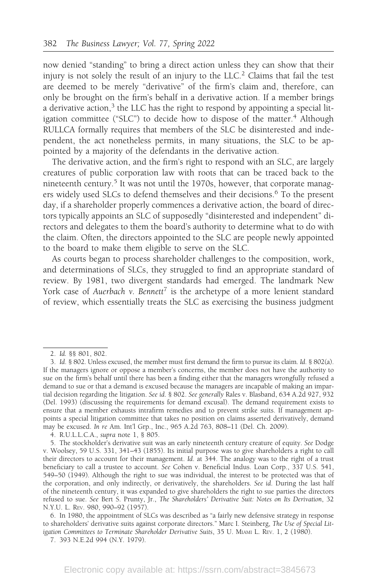now denied "standing" to bring a direct action unless they can show that their injury is not solely the result of an injury to the LLC.<sup>2</sup> Claims that fail the test are deemed to be merely "derivative" of the firm's claim and, therefore, can only be brought on the firm's behalf in a derivative action. If a member brings a derivative action, $3$  the LLC has the right to respond by appointing a special litigation committee ("SLC") to decide how to dispose of the matter.<sup>4</sup> Although RULLCA formally requires that members of the SLC be disinterested and independent, the act nonetheless permits, in many situations, the SLC to be appointed by a majority of the defendants in the derivative action.

The derivative action, and the firm's right to respond with an SLC, are largely creatures of public corporation law with roots that can be traced back to the nineteenth century.<sup>5</sup> It was not until the 1970s, however, that corporate managers widely used SLCs to defend themselves and their decisions.<sup>6</sup> To the present day, if a shareholder properly commences a derivative action, the board of directors typically appoints an SLC of supposedly "disinterested and independent" directors and delegates to them the board's authority to determine what to do with the claim. Often, the directors appointed to the SLC are people newly appointed to the board to make them eligible to serve on the SLC.

As courts began to process shareholder challenges to the composition, work, and determinations of SLCs, they struggled to find an appropriate standard of review. By 1981, two divergent standards had emerged. The landmark New York case of Auerbach v. Bennett<sup>7</sup> is the archetype of a more lenient standard of review, which essentially treats the SLC as exercising the business judgment

<sup>2.</sup> Id. §§ 801, 802.

<sup>3.</sup> Id. § 802. Unless excused, the member must first demand the firm to pursue its claim. Id. § 802(a). If the managers ignore or oppose a member's concerns, the member does not have the authority to sue on the firm's behalf until there has been a finding either that the managers wrongfully refused a demand to sue or that a demand is excused because the managers are incapable of making an impartial decision regarding the litigation. See id. § 802. See generally Rales v. Blasband, 634 A.2d 927, 932 (Del. 1993) (discussing the requirements for demand excusal). The demand requirement exists to ensure that a member exhausts intrafirm remedies and to prevent strike suits. If management appoints a special litigation committee that takes no position on claims asserted derivatively, demand may be excused. In re Am. Int'l Grp., Inc., 965 A.2d 763, 808–11 (Del. Ch. 2009).

<sup>4.</sup> R.U.L.L.C.A., supra note 1, § 805.

<sup>5.</sup> The stockholder's derivative suit was an early nineteenth century creature of equity. See Dodge v. Woolsey, 59 U.S. 331, 341–43 (1855). Its initial purpose was to give shareholders a right to call their directors to account for their management. Id. at 344. The analogy was to the right of a trust beneficiary to call a trustee to account. See Cohen v. Beneficial Indus. Loan Corp., 337 U.S. 541, 549–50 (1949). Although the right to sue was individual, the interest to be protected was that of the corporation, and only indirectly, or derivatively, the shareholders. See id. During the last half of the nineteenth century, it was expanded to give shareholders the right to sue parties the directors refused to sue. See Bert S. Prunty, Jr., The Shareholders' Derivative Suit: Notes on Its Derivation, 32 N.Y.U. L. REV. 980, 990–92 (1957).

<sup>6.</sup> In 1980, the appointment of SLCs was described as "a fairly new defensive strategy in response to shareholders' derivative suits against corporate directors." Marc I. Steinberg, The Use of Special Litigation Committees to Terminate Shareholder Derivative Suits, 35 U. MIAMI L. REV. 1, 2 (1980).

<sup>7. 393</sup> N.E.2d 994 (N.Y. 1979).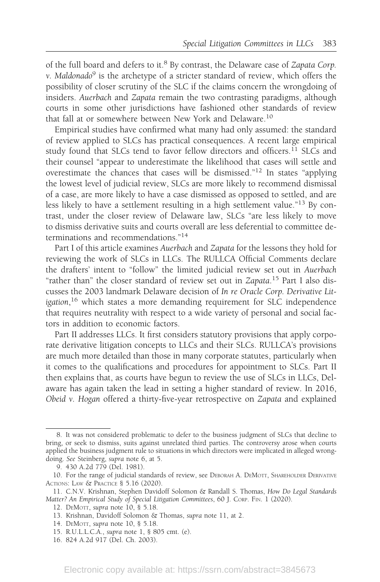of the full board and defers to it.<sup>8</sup> By contrast, the Delaware case of Zapata Corp. v. Maldonado $9$  is the archetype of a stricter standard of review, which offers the possibility of closer scrutiny of the SLC if the claims concern the wrongdoing of insiders. Auerbach and Zapata remain the two contrasting paradigms, although courts in some other jurisdictions have fashioned other standards of review that fall at or somewhere between New York and Delaware.<sup>10</sup>

Empirical studies have confirmed what many had only assumed: the standard of review applied to SLCs has practical consequences. A recent large empirical study found that SLCs tend to favor fellow directors and officers.<sup>11</sup> SLCs and their counsel "appear to underestimate the likelihood that cases will settle and overestimate the chances that cases will be dismissed."<sup>12</sup> In states "applying the lowest level of judicial review, SLCs are more likely to recommend dismissal of a case, are more likely to have a case dismissed as opposed to settled, and are less likely to have a settlement resulting in a high settlement value."<sup>13</sup> By contrast, under the closer review of Delaware law, SLCs "are less likely to move to dismiss derivative suits and courts overall are less deferential to committee determinations and recommendations."<sup>14</sup>

Part I of this article examines Auerbach and Zapata for the lessons they hold for reviewing the work of SLCs in LLCs. The RULLCA Official Comments declare the drafters' intent to "follow" the limited judicial review set out in Auerbach "rather than" the closer standard of review set out in Zapata.<sup>15</sup> Part I also discusses the 2003 landmark Delaware decision of In re Oracle Corp. Derivative Litigation,<sup>16</sup> which states a more demanding requirement for SLC independence that requires neutrality with respect to a wide variety of personal and social factors in addition to economic factors.

Part II addresses LLCs. It first considers statutory provisions that apply corporate derivative litigation concepts to LLCs and their SLCs. RULLCA's provisions are much more detailed than those in many corporate statutes, particularly when it comes to the qualifications and procedures for appointment to SLCs. Part II then explains that, as courts have begun to review the use of SLCs in LLCs, Delaware has again taken the lead in setting a higher standard of review. In 2016, Obeid v. Hogan offered a thirty-five-year retrospective on Zapata and explained

<sup>8.</sup> It was not considered problematic to defer to the business judgment of SLCs that decline to bring, or seek to dismiss, suits against unrelated third parties. The controversy arose when courts applied the business judgment rule to situations in which directors were implicated in alleged wrongdoing. See Steinberg, supra note 6, at 5.

<sup>9. 430</sup> A.2d 779 (Del. 1981).

<sup>10.</sup> For the range of judicial standards of review, see DEBORAH A. DEMOTT, SHAREHOLDER DERIVATIVE ACTIONS: LAW & PRACTICE § 5.16 (2020).

<sup>11.</sup> C.N.V. Krishnan, Stephen Davidoff Solomon & Randall S. Thomas, How Do Legal Standards Matter? An Empirical Study of Special Litigation Committees, 60 J. CORP. FIN. 1 (2020).

<sup>12.</sup> DEMOTT, supra note 10, § 5.18.

<sup>13.</sup> Krishnan, Davidoff Solomon & Thomas, supra note 11, at 2.

<sup>14.</sup> DEMOTT, supra note 10, § 5.18.

<sup>15.</sup> R.U.L.L.C.A., supra note 1, § 805 cmt. (e).

<sup>16. 824</sup> A.2d 917 (Del. Ch. 2003).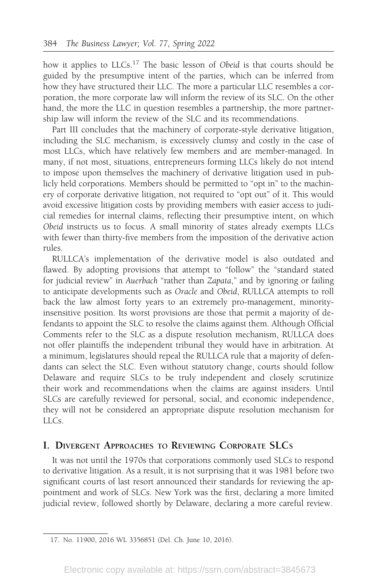how it applies to LLCs.<sup>17</sup> The basic lesson of Obeid is that courts should be guided by the presumptive intent of the parties, which can be inferred from how they have structured their LLC. The more a particular LLC resembles a corporation, the more corporate law will inform the review of its SLC. On the other hand, the more the LLC in question resembles a partnership, the more partnership law will inform the review of the SLC and its recommendations.

Part III concludes that the machinery of corporate-style derivative litigation, including the SLC mechanism, is excessively clumsy and costly in the case of most LLCs, which have relatively few members and are member-managed. In many, if not most, situations, entrepreneurs forming LLCs likely do not intend to impose upon themselves the machinery of derivative litigation used in publicly held corporations. Members should be permitted to "opt in" to the machinery of corporate derivative litigation, not required to "opt out" of it. This would avoid excessive litigation costs by providing members with easier access to judicial remedies for internal claims, reflecting their presumptive intent, on which Obeid instructs us to focus. A small minority of states already exempts LLCs with fewer than thirty-five members from the imposition of the derivative action rules.

RULLCA's implementation of the derivative model is also outdated and flawed. By adopting provisions that attempt to "follow" the "standard stated for judicial review" in Auerbach "rather than Zapata," and by ignoring or failing to anticipate developments such as Oracle and Obeid, RULLCA attempts to roll back the law almost forty years to an extremely pro-management, minorityinsensitive position. Its worst provisions are those that permit a majority of defendants to appoint the SLC to resolve the claims against them. Although Official Comments refer to the SLC as a dispute resolution mechanism, RULLCA does not offer plaintiffs the independent tribunal they would have in arbitration. At a minimum, legislatures should repeal the RULLCA rule that a majority of defendants can select the SLC. Even without statutory change, courts should follow Delaware and require SLCs to be truly independent and closely scrutinize their work and recommendations when the claims are against insiders. Until SLCs are carefully reviewed for personal, social, and economic independence, they will not be considered an appropriate dispute resolution mechanism for LLCs.

### I. DIVERGENT APPROACHES TO REVIEWING CORPORATE SLCS

It was not until the 1970s that corporations commonly used SLCs to respond to derivative litigation. As a result, it is not surprising that it was 1981 before two significant courts of last resort announced their standards for reviewing the appointment and work of SLCs. New York was the first, declaring a more limited judicial review, followed shortly by Delaware, declaring a more careful review.

<sup>17.</sup> No. 11900, 2016 WL 3356851 (Del. Ch. June 10, 2016).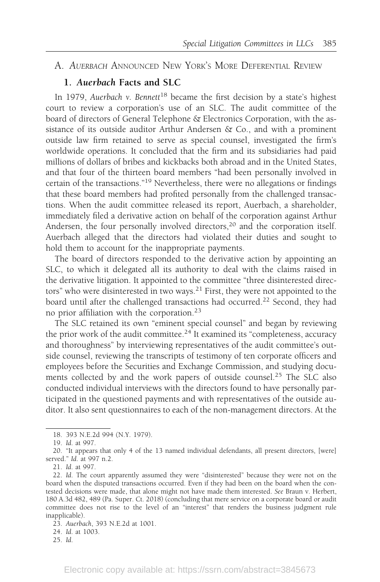### A. AUERBACH ANNOUNCED NEW YORK'S MORE DEFERENTIAL REVIEW

### 1. Auerbach Facts and SLC

In 1979, Auerbach v. Bennett<sup>18</sup> became the first decision by a state's highest court to review a corporation's use of an SLC. The audit committee of the board of directors of General Telephone & Electronics Corporation, with the assistance of its outside auditor Arthur Andersen  $\&$  Co., and with a prominent outside law firm retained to serve as special counsel, investigated the firm's worldwide operations. It concluded that the firm and its subsidiaries had paid millions of dollars of bribes and kickbacks both abroad and in the United States, and that four of the thirteen board members "had been personally involved in certain of the transactions."19 Nevertheless, there were no allegations or findings that these board members had profited personally from the challenged transactions. When the audit committee released its report, Auerbach, a shareholder, immediately filed a derivative action on behalf of the corporation against Arthur Andersen, the four personally involved directors,  $20$  and the corporation itself. Auerbach alleged that the directors had violated their duties and sought to hold them to account for the inappropriate payments.

The board of directors responded to the derivative action by appointing an SLC, to which it delegated all its authority to deal with the claims raised in the derivative litigation. It appointed to the committee "three disinterested directors" who were disinterested in two ways.<sup>21</sup> First, they were not appointed to the board until after the challenged transactions had occurred.<sup>22</sup> Second, they had no prior affiliation with the corporation.<sup>23</sup>

The SLC retained its own "eminent special counsel" and began by reviewing the prior work of the audit committee.<sup>24</sup> It examined its "completeness, accuracy and thoroughness" by interviewing representatives of the audit committee's outside counsel, reviewing the transcripts of testimony of ten corporate officers and employees before the Securities and Exchange Commission, and studying documents collected by and the work papers of outside counsel.<sup>25</sup> The SLC also conducted individual interviews with the directors found to have personally participated in the questioned payments and with representatives of the outside auditor. It also sent questionnaires to each of the non-management directors. At the

23. Auerbach, 393 N.E.2d at 1001.

24. Id. at 1003.

<sup>18. 393</sup> N.E.2d 994 (N.Y. 1979).

<sup>19.</sup> Id. at 997.

<sup>20. &</sup>quot;It appears that only 4 of the 13 named individual defendants, all present directors, [were] served." Id. at 997 n.2.

<sup>21.</sup> Id. at 997.

<sup>22.</sup> Id. The court apparently assumed they were "disinterested" because they were not on the board when the disputed transactions occurred. Even if they had been on the board when the contested decisions were made, that alone might not have made them interested. See Braun v. Herbert, 180 A.3d 482, 489 (Pa. Super. Ct. 2018) (concluding that mere service on a corporate board or audit committee does not rise to the level of an "interest" that renders the business judgment rule inapplicable).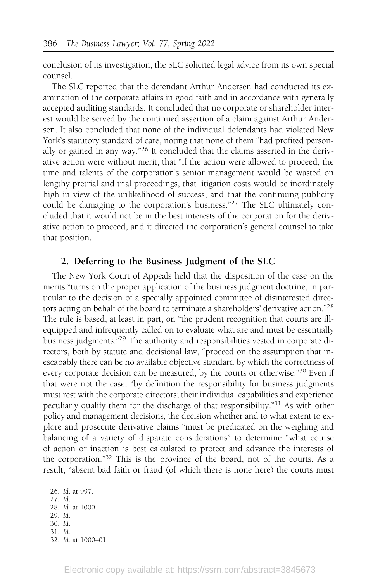conclusion of its investigation, the SLC solicited legal advice from its own special counsel.

The SLC reported that the defendant Arthur Andersen had conducted its examination of the corporate affairs in good faith and in accordance with generally accepted auditing standards. It concluded that no corporate or shareholder interest would be served by the continued assertion of a claim against Arthur Andersen. It also concluded that none of the individual defendants had violated New York's statutory standard of care, noting that none of them "had profited personally or gained in any way."26 It concluded that the claims asserted in the derivative action were without merit, that "if the action were allowed to proceed, the time and talents of the corporation's senior management would be wasted on lengthy pretrial and trial proceedings, that litigation costs would be inordinately high in view of the unlikelihood of success, and that the continuing publicity could be damaging to the corporation's business."<sup>27</sup> The SLC ultimately concluded that it would not be in the best interests of the corporation for the derivative action to proceed, and it directed the corporation's general counsel to take that position.

### 2. Deferring to the Business Judgment of the SLC

The New York Court of Appeals held that the disposition of the case on the merits "turns on the proper application of the business judgment doctrine, in particular to the decision of a specially appointed committee of disinterested directors acting on behalf of the board to terminate a shareholders' derivative action."<sup>28</sup> The rule is based, at least in part, on "the prudent recognition that courts are illequipped and infrequently called on to evaluate what are and must be essentially business judgments."29 The authority and responsibilities vested in corporate directors, both by statute and decisional law, "proceed on the assumption that inescapably there can be no available objective standard by which the correctness of every corporate decision can be measured, by the courts or otherwise."<sup>30</sup> Even if that were not the case, "by definition the responsibility for business judgments must rest with the corporate directors; their individual capabilities and experience peculiarly qualify them for the discharge of that responsibility."31 As with other policy and management decisions, the decision whether and to what extent to explore and prosecute derivative claims "must be predicated on the weighing and balancing of a variety of disparate considerations" to determine "what course of action or inaction is best calculated to protect and advance the interests of the corporation."32 This is the province of the board, not of the courts. As a result, "absent bad faith or fraud (of which there is none here) the courts must

<sup>26.</sup> Id. at 997.

<sup>27.</sup> Id.

<sup>28.</sup> Id. at 1000.

<sup>29.</sup> Id.

<sup>30.</sup> Id. 31. Id.

<sup>32.</sup> Id. at 1000–01.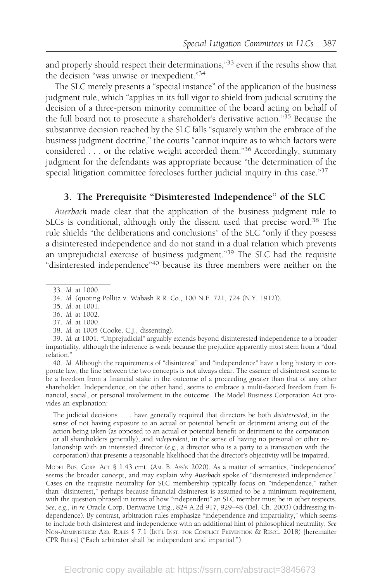and properly should respect their determinations,"33 even if the results show that the decision "was unwise or inexpedient."34

The SLC merely presents a "special instance" of the application of the business judgment rule, which "applies in its full vigor to shield from judicial scrutiny the decision of a three-person minority committee of the board acting on behalf of the full board not to prosecute a shareholder's derivative action."<sup>35</sup> Because the substantive decision reached by the SLC falls "squarely within the embrace of the business judgment doctrine," the courts "cannot inquire as to which factors were considered . . . or the relative weight accorded them."<sup>36</sup> Accordingly, summary judgment for the defendants was appropriate because "the determination of the special litigation committee forecloses further judicial inquiry in this case."<sup>37</sup>

# 3. The Prerequisite "Disinterested Independence" of the SLC

Auerbach made clear that the application of the business judgment rule to SLCs is conditional, although only the dissent used that precise word.<sup>38</sup> The rule shields "the deliberations and conclusions" of the SLC "only if they possess a disinterested independence and do not stand in a dual relation which prevents an unprejudicial exercise of business judgment."39 The SLC had the requisite "disinterested independence"40 because its three members were neither on the

- 37. Id. at 1000.
- 38. Id. at 1005 (Cooke, C.J., dissenting).

40. Id. Although the requirements of "disinterest" and "independence" have a long history in corporate law, the line between the two concepts is not always clear. The essence of disinterest seems to be a freedom from a financial stake in the outcome of a proceeding greater than that of any other shareholder. Independence, on the other hand, seems to embrace a multi-faceted freedom from financial, social, or personal involvement in the outcome. The Model Business Corporation Act provides an explanation:

The judicial decisions . . . have generally required that directors be both disinterested, in the sense of not having exposure to an actual or potential benefit or detriment arising out of the action being taken (as opposed to an actual or potential benefit or detriment to the corporation or all shareholders generally), and independent, in the sense of having no personal or other relationship with an interested director (e.g., a director who is a party to a transaction with the corporation) that presents a reasonable likelihood that the director's objectivity will be impaired.

MODEL BUS. CORP. ACT § 1.43 cmt. (AM. B. Ass'N 2020). As a matter of semantics, "independence" seems the broader concept, and may explain why Auerbach spoke of "disinterested independence." Cases on the requisite neutrality for SLC membership typically focus on "independence," rather than "disinterest," perhaps because financial disinterest is assumed to be a minimum requirement, with the question phrased in terms of how "independent" an SLC member must be in other respects. See, e.g., In re Oracle Corp. Derivative Litig., 824 A.2d 917, 929–48 (Del. Ch. 2003) (addressing independence). By contrast, arbitration rules emphasize "independence and impartiality," which seems to include both disinterest and independence with an additional hint of philosophical neutrality. See NON-ADMINISTERED ARB. RULES § 7.1 (INT'L INST. FOR CONFLICT PREVENTION & RESOL. 2018) [hereinafter CPR RULES] ("Each arbitrator shall be independent and impartial.").

<sup>33.</sup> Id. at 1000.

<sup>34.</sup> Id. (quoting Pollitz v. Wabash R.R. Co., 100 N.E. 721, 724 (N.Y. 1912)).

<sup>35.</sup> Id. at 1001.

<sup>36.</sup> Id. at 1002.

<sup>39.</sup> Id. at 1001. "Unprejudicial" arguably extends beyond disinterested independence to a broader impartiality, although the inference is weak because the prejudice apparently must stem from a "dual relation."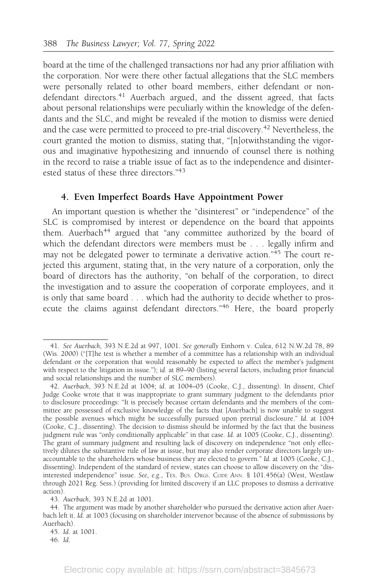board at the time of the challenged transactions nor had any prior affiliation with the corporation. Nor were there other factual allegations that the SLC members were personally related to other board members, either defendant or nondefendant directors.<sup>41</sup> Auerbach argued, and the dissent agreed, that facts about personal relationships were peculiarly within the knowledge of the defendants and the SLC, and might be revealed if the motion to dismiss were denied and the case were permitted to proceed to pre-trial discovery.<sup>42</sup> Nevertheless, the court granted the motion to dismiss, stating that, "[n]otwithstanding the vigorous and imaginative hypothesizing and innuendo of counsel there is nothing in the record to raise a triable issue of fact as to the independence and disinterested status of these three directors."43

#### 4. Even Imperfect Boards Have Appointment Power

An important question is whether the "disinterest" or "independence" of the SLC is compromised by interest or dependence on the board that appoints them. Auerbach<sup>44</sup> argued that "any committee authorized by the board of which the defendant directors were members must be . . . legally infirm and may not be delegated power to terminate a derivative action." $45$  The court rejected this argument, stating that, in the very nature of a corporation, only the board of directors has the authority, "on behalf of the corporation, to direct the investigation and to assure the cooperation of corporate employees, and it is only that same board . . . which had the authority to decide whether to prosecute the claims against defendant directors."<sup>46</sup> Here, the board properly

45. Id. at 1001.

<sup>41.</sup> See Auerbach, 393 N.E.2d at 997, 1001. See generally Einhorn v. Culea, 612 N.W.2d 78, 89 (Wis. 2000) ("[T]he test is whether a member of a committee has a relationship with an individual defendant or the corporation that would reasonably be expected to affect the member's judgment with respect to the litigation in issue."); id. at 89–90 (listing several factors, including prior financial and social relationships and the number of SLC members).

<sup>42.</sup> Auerbach, 393 N.E.2d at 1004; id. at 1004–05 (Cooke, C.J., dissenting). In dissent, Chief Judge Cooke wrote that it was inappropriate to grant summary judgment to the defendants prior to disclosure proceedings: "It is precisely because certain defendants and the members of the committee are possessed of exclusive knowledge of the facts that [Auerbach] is now unable to suggest the possible avenues which might be successfully pursued upon pretrial disclosure." Id. at 1004 (Cooke, C.J., dissenting). The decision to dismiss should be informed by the fact that the business judgment rule was "only conditionally applicable" in that case. Id. at 1005 (Cooke, C.J., dissenting). The grant of summary judgment and resulting lack of discovery on independence "not only effectively dilutes the substantive rule of law at issue, but may also render corporate directors largely unaccountable to the shareholders whose business they are elected to govern." Id. at 1005 (Cooke, C.J., dissenting). Independent of the standard of review, states can choose to allow discovery on the "disinterested independence" issue. See, e.g., TEX. BUS. ORGS. CODE ANN. § 101.456(a) (West, Westlaw through 2021 Reg. Sess.) (providing for limited discovery if an LLC proposes to dismiss a derivative action).

<sup>43.</sup> Auerbach, 393 N.E.2d at 1001.

<sup>44.</sup> The argument was made by another shareholder who pursued the derivative action after Auerbach left it. Id. at 1003 (focusing on shareholder intervenor because of the absence of submissions by Auerbach).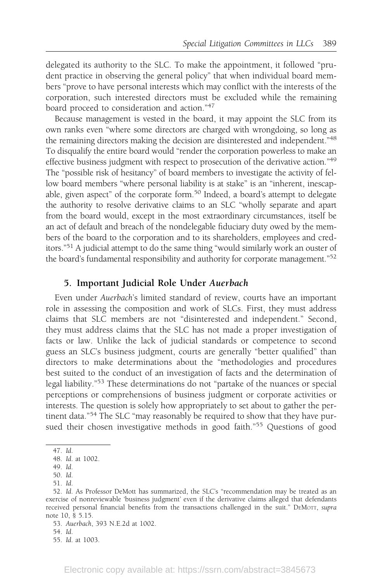delegated its authority to the SLC. To make the appointment, it followed "prudent practice in observing the general policy" that when individual board members "prove to have personal interests which may conflict with the interests of the corporation, such interested directors must be excluded while the remaining board proceed to consideration and action."<sup>47</sup>

Because management is vested in the board, it may appoint the SLC from its own ranks even "where some directors are charged with wrongdoing, so long as the remaining directors making the decision are disinterested and independent."<sup>48</sup> To disqualify the entire board would "render the corporation powerless to make an effective business judgment with respect to prosecution of the derivative action."<sup>49</sup> The "possible risk of hesitancy" of board members to investigate the activity of fellow board members "where personal liability is at stake" is an "inherent, inescapable, given aspect" of the corporate form.<sup>50</sup> Indeed, a board's attempt to delegate the authority to resolve derivative claims to an SLC "wholly separate and apart from the board would, except in the most extraordinary circumstances, itself be an act of default and breach of the nondelegable fiduciary duty owed by the members of the board to the corporation and to its shareholders, employees and creditors."51 A judicial attempt to do the same thing "would similarly work an ouster of the board's fundamental responsibility and authority for corporate management."<sup>52</sup>

### 5. Important Judicial Role Under Auerbach

Even under Auerbach's limited standard of review, courts have an important role in assessing the composition and work of SLCs. First, they must address claims that SLC members are not "disinterested and independent." Second, they must address claims that the SLC has not made a proper investigation of facts or law. Unlike the lack of judicial standards or competence to second guess an SLC's business judgment, courts are generally "better qualified" than directors to make determinations about the "methodologies and procedures best suited to the conduct of an investigation of facts and the determination of legal liability."<sup>53</sup> These determinations do not "partake of the nuances or special perceptions or comprehensions of business judgment or corporate activities or interests. The question is solely how appropriately to set about to gather the pertinent data."<sup>54</sup> The SLC "may reasonably be required to show that they have pursued their chosen investigative methods in good faith."<sup>55</sup> Questions of good

<sup>47.</sup> Id.

<sup>48.</sup> Id. at 1002.

<sup>49.</sup> Id.

<sup>50.</sup> Id.

<sup>51.</sup> Id.

<sup>52.</sup> Id. As Professor DeMott has summarized, the SLC's "recommendation may be treated as an exercise of nonreviewable 'business judgment' even if the derivative claims alleged that defendants received personal financial benefits from the transactions challenged in the suit." DEMOTT, supra note 10, § 5.15.

<sup>53.</sup> Auerbach, 393 N.E.2d at 1002.

<sup>54.</sup> Id.

<sup>55.</sup> Id. at 1003.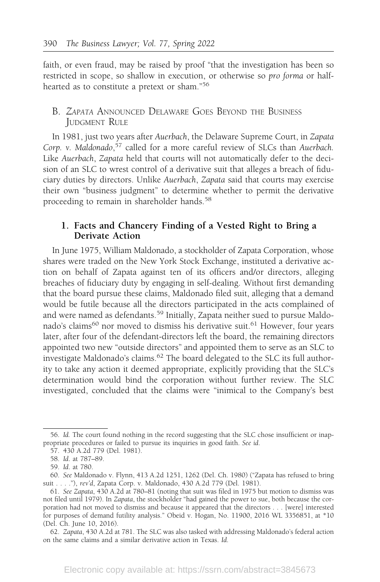faith, or even fraud, may be raised by proof "that the investigation has been so restricted in scope, so shallow in execution, or otherwise so pro forma or halfhearted as to constitute a pretext or sham."<sup>56</sup>

### B. ZAPATA ANNOUNCED DELAWARE GOES BEYOND THE BUSINESS JUDGMENT RULE

In 1981, just two years after Auerbach, the Delaware Supreme Court, in Zapata Corp. v. Maldonado, 57 called for a more careful review of SLCs than Auerbach. Like Auerbach, Zapata held that courts will not automatically defer to the decision of an SLC to wrest control of a derivative suit that alleges a breach of fiduciary duties by directors. Unlike Auerbach, Zapata said that courts may exercise their own "business judgment" to determine whether to permit the derivative proceeding to remain in shareholder hands.<sup>58</sup>

### 1. Facts and Chancery Finding of a Vested Right to Bring a Derivate Action

In June 1975, William Maldonado, a stockholder of Zapata Corporation, whose shares were traded on the New York Stock Exchange, instituted a derivative action on behalf of Zapata against ten of its officers and/or directors, alleging breaches of fiduciary duty by engaging in self-dealing. Without first demanding that the board pursue these claims, Maldonado filed suit, alleging that a demand would be futile because all the directors participated in the acts complained of and were named as defendants.<sup>59</sup> Initially, Zapata neither sued to pursue Maldonado's claims<sup>60</sup> nor moved to dismiss his derivative suit.<sup>61</sup> However, four years later, after four of the defendant-directors left the board, the remaining directors appointed two new "outside directors" and appointed them to serve as an SLC to investigate Maldonado's claims.<sup>62</sup> The board delegated to the SLC its full authority to take any action it deemed appropriate, explicitly providing that the SLC's determination would bind the corporation without further review. The SLC investigated, concluded that the claims were "inimical to the Company's best

62. Zapata, 430 A.2d at 781. The SLC was also tasked with addressing Maldonado's federal action on the same claims and a similar derivative action in Texas. Id.

<sup>56.</sup> Id. The court found nothing in the record suggesting that the SLC chose insufficient or inappropriate procedures or failed to pursue its inquiries in good faith. See id.

<sup>57. 430</sup> A.2d 779 (Del. 1981).

<sup>58.</sup> Id. at 787–89.

<sup>59.</sup> Id. at 780.

<sup>60.</sup> See Maldonado v. Flynn, 413 A.2d 1251, 1262 (Del. Ch. 1980) ("Zapata has refused to bring suit . . . ."), rev'd, Zapata Corp. v. Maldonado, 430 A.2d 779 (Del. 1981).

<sup>61.</sup> See Zapata, 430 A.2d at 780–81 (noting that suit was filed in 1975 but motion to dismiss was not filed until 1979). In Zapata, the stockholder "had gained the power to sue, both because the corporation had not moved to dismiss and because it appeared that the directors . . . [were] interested for purposes of demand futility analysis." Obeid v. Hogan, No. 11900, 2016 WL 3356851, at \*10 (Del. Ch. June 10, 2016).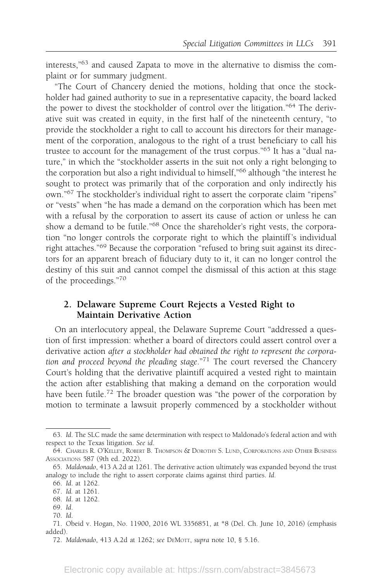interests,"<sup>63</sup> and caused Zapata to move in the alternative to dismiss the complaint or for summary judgment.

"The Court of Chancery denied the motions, holding that once the stockholder had gained authority to sue in a representative capacity, the board lacked the power to divest the stockholder of control over the litigation."<sup>64</sup> The derivative suit was created in equity, in the first half of the nineteenth century, "to provide the stockholder a right to call to account his directors for their management of the corporation, analogous to the right of a trust beneficiary to call his trustee to account for the management of the trust corpus."<sup>65</sup> It has a "dual nature," in which the "stockholder asserts in the suit not only a right belonging to the corporation but also a right individual to himself,"<sup>66</sup> although "the interest he sought to protect was primarily that of the corporation and only indirectly his own."<sup>67</sup> The stockholder's individual right to assert the corporate claim "ripens" or "vests" when "he has made a demand on the corporation which has been met with a refusal by the corporation to assert its cause of action or unless he can show a demand to be futile."<sup>68</sup> Once the shareholder's right vests, the corporation "no longer controls the corporate right to which the plaintiff 's individual right attaches."<sup>69</sup> Because the corporation "refused to bring suit against its directors for an apparent breach of fiduciary duty to it, it can no longer control the destiny of this suit and cannot compel the dismissal of this action at this stage of the proceedings."<sup>70</sup>

### 2. Delaware Supreme Court Rejects a Vested Right to Maintain Derivative Action

On an interlocutory appeal, the Delaware Supreme Court "addressed a question of first impression: whether a board of directors could assert control over a derivative action after a stockholder had obtained the right to represent the corporation and proceed beyond the pleading stage."<sup>71</sup> The court reversed the Chancery Court's holding that the derivative plaintiff acquired a vested right to maintain the action after establishing that making a demand on the corporation would have been futile.<sup>72</sup> The broader question was "the power of the corporation by motion to terminate a lawsuit properly commenced by a stockholder without

<sup>63.</sup> Id. The SLC made the same determination with respect to Maldonado's federal action and with respect to the Texas litigation. See id.

<sup>64.</sup> CHARLES R. O'KELLEY, ROBERT B. THOMPSON & DOROTHY S. LUND, CORPORATIONS AND OTHER BUSINESS ASSOCIATIONS 587 (9th ed. 2022).

<sup>65.</sup> Maldonado, 413 A.2d at 1261. The derivative action ultimately was expanded beyond the trust analogy to include the right to assert corporate claims against third parties. Id.

<sup>66.</sup> Id. at 1262.

<sup>67.</sup> Id. at 1261.

<sup>68.</sup> Id. at 1262.

<sup>69.</sup> Id.

<sup>70.</sup> Id.

<sup>71.</sup> Obeid v. Hogan, No. 11900, 2016 WL 3356851, at \*8 (Del. Ch. June 10, 2016) (emphasis added).

<sup>72.</sup> Maldonado, 413 A.2d at 1262; see DEMOTT, supra note 10, § 5.16.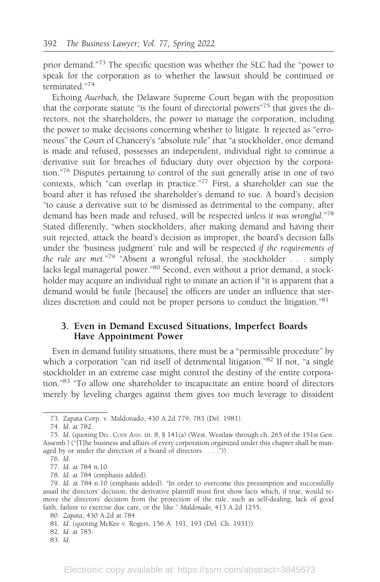prior demand."<sup>73</sup> The specific question was whether the SLC had the "power to speak for the corporation as to whether the lawsuit should be continued or terminated."<sup>74</sup>

Echoing Auerbach, the Delaware Supreme Court began with the proposition that the corporate statute "is the fount of directorial powers"<sup>75</sup> that gives the directors, not the shareholders, the power to manage the corporation, including the power to make decisions concerning whether to litigate. It rejected as "erroneous" the Court of Chancery's "absolute rule" that "a stockholder, once demand is made and refused, possesses an independent, individual right to continue a derivative suit for breaches of fiduciary duty over objection by the corporation."<sup>76</sup> Disputes pertaining to control of the suit generally arise in one of two contexts, which "can overlap in practice."<sup>77</sup> First, a shareholder can sue the board after it has refused the shareholder's demand to sue. A board's decision "to cause a derivative suit to be dismissed as detrimental to the company, after demand has been made and refused, will be respected unless it was wrongful."<sup>78</sup> Stated differently, "when stockholders, after making demand and having their suit rejected, attack the board's decision as improper, the board's decision falls under the 'business judgment' rule and will be respected if the requirements of the rule are met."<sup>79</sup> "Absent a wrongful refusal, the stockholder  $\ldots$  simply lacks legal managerial power."<sup>80</sup> Second, even without a prior demand, a stockholder may acquire an individual right to initiate an action if "it is apparent that a demand would be futile [because] the officers are under an influence that sterilizes discretion and could not be proper persons to conduct the litigation."<sup>81</sup>

### 3. Even in Demand Excused Situations, Imperfect Boards Have Appointment Power

Even in demand futility situations, there must be a "permissible procedure" by which a corporation "can rid itself of detrimental litigation."<sup>82</sup> If not, "a single stockholder in an extreme case might control the destiny of the entire corporation."<sup>83</sup> "To allow one shareholder to incapacitate an entire board of directors merely by leveling charges against them gives too much leverage to dissident

<sup>73.</sup> Zapata Corp. v. Maldonado, 430 A.2d 779, 783 (Del. 1981).

<sup>74.</sup> Id. at 782.

<sup>75.</sup> Id. (quoting DEL. CODE ANN. tit. 8, § 141(a) (West, Westlaw through ch. 265 of the 151st Gen. Assemb.) ("[T]he business and affairs of every corporation organized under this chapter shall be managed by or under the direction of a board of directors . . . .")).

<sup>76.</sup> Id.

<sup>77.</sup> Id. at 784 n.10.

<sup>78.</sup> Id. at 784 (emphasis added).

<sup>79.</sup> Id. at 784 n.10 (emphasis added). "In order to overcome this presumption and successfully assail the directors' decision, the derivative plaintiff must first show facts which, if true, would remove the directors' decision from the protection of the rule, such as self-dealing, lack of good faith, failure to exercise due care, or the like." Maldonado, 413 A.2d 1255.

<sup>80.</sup> Zapata, 430 A.2d at 784.

<sup>81.</sup> Id. (quoting McKee v. Rogers, 156 A. 191, 193 (Del. Ch. 1931)).

<sup>82.</sup> Id. at 785.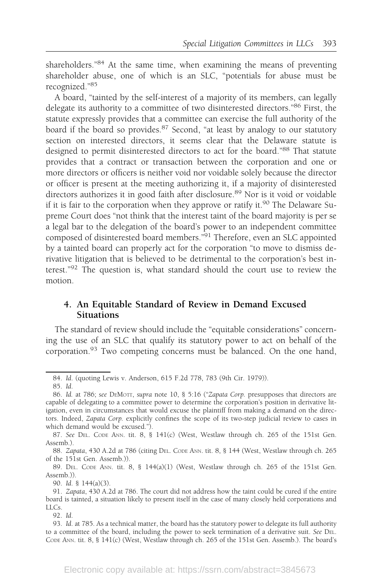shareholders."<sup>84</sup> At the same time, when examining the means of preventing shareholder abuse, one of which is an SLC, "potentials for abuse must be recognized."<sup>85</sup>

A board, "tainted by the self-interest of a majority of its members, can legally delegate its authority to a committee of two disinterested directors."86 First, the statute expressly provides that a committee can exercise the full authority of the board if the board so provides.<sup>87</sup> Second, "at least by analogy to our statutory section on interested directors, it seems clear that the Delaware statute is designed to permit disinterested directors to act for the board."88 That statute provides that a contract or transaction between the corporation and one or more directors or officers is neither void nor voidable solely because the director or officer is present at the meeting authorizing it, if a majority of disinterested directors authorizes it in good faith after disclosure.<sup>89</sup> Nor is it void or voidable if it is fair to the corporation when they approve or ratify it.<sup>90</sup> The Delaware Supreme Court does "not think that the interest taint of the board majority is per se a legal bar to the delegation of the board's power to an independent committee composed of disinterested board members."<sup>91</sup> Therefore, even an SLC appointed by a tainted board can properly act for the corporation "to move to dismiss derivative litigation that is believed to be detrimental to the corporation's best interest."<sup>92</sup> The question is, what standard should the court use to review the motion.

### 4. An Equitable Standard of Review in Demand Excused Situations

The standard of review should include the "equitable considerations" concerning the use of an SLC that qualify its statutory power to act on behalf of the corporation.<sup>93</sup> Two competing concerns must be balanced. On the one hand,

88. Zapata, 430 A.2d at 786 (citing DEL. CODE ANN. tit. 8, § 144 (West, Westlaw through ch. 265 of the 151st Gen. Assemb.)).

89. DEL. CODE ANN. tit. 8, § 144(a)(1) (West, Westlaw through ch. 265 of the 151st Gen. Assemb.)).

90. Id. § 144(a)(3).

<sup>84.</sup> Id. (quoting Lewis v. Anderson, 615 F.2d 778, 783 (9th Cir. 1979)).

<sup>85.</sup> Id.

<sup>86.</sup> Id. at 786; see DEMOTT, supra note 10, § 5:16 ("Zapata Corp. presupposes that directors are capable of delegating to a committee power to determine the corporation's position in derivative litigation, even in circumstances that would excuse the plaintiff from making a demand on the directors. Indeed, Zapata Corp. explicitly confines the scope of its two-step judicial review to cases in which demand would be excused.").

<sup>87.</sup> See DEL. CODE ANN. tit. 8, § 141(c) (West, Westlaw through ch. 265 of the 151st Gen. Assemb.).

<sup>91.</sup> Zapata, 430 A.2d at 786. The court did not address how the taint could be cured if the entire board is tainted, a situation likely to present itself in the case of many closely held corporations and LLCs.

<sup>93.</sup> Id. at 785. As a technical matter, the board has the statutory power to delegate its full authority to a committee of the board, including the power to seek termination of a derivative suit. See DEL. CODE ANN. tit. 8, § 141(c) (West, Westlaw through ch. 265 of the 151st Gen. Assemb.). The board's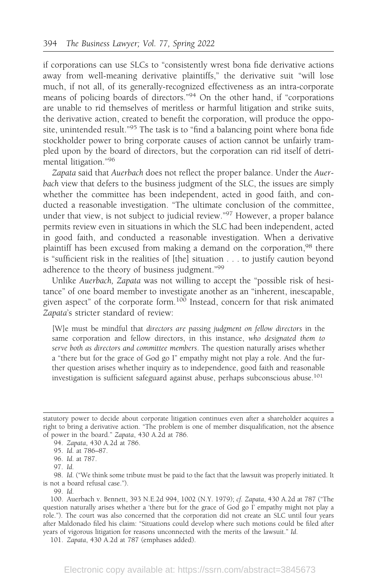if corporations can use SLCs to "consistently wrest bona fide derivative actions away from well-meaning derivative plaintiffs," the derivative suit "will lose much, if not all, of its generally-recognized effectiveness as an intra-corporate means of policing boards of directors."<sup>94</sup> On the other hand, if "corporations are unable to rid themselves of meritless or harmful litigation and strike suits, the derivative action, created to benefit the corporation, will produce the opposite, unintended result."<sup>95</sup> The task is to "find a balancing point where bona fide stockholder power to bring corporate causes of action cannot be unfairly trampled upon by the board of directors, but the corporation can rid itself of detrimental litigation."<sup>96</sup>

Zapata said that Auerbach does not reflect the proper balance. Under the Auerbach view that defers to the business judgment of the SLC, the issues are simply whether the committee has been independent, acted in good faith, and conducted a reasonable investigation. "The ultimate conclusion of the committee, under that view, is not subject to judicial review."<sup>97</sup> However, a proper balance permits review even in situations in which the SLC had been independent, acted in good faith, and conducted a reasonable investigation. When a derivative plaintiff has been excused from making a demand on the corporation,<sup>98</sup> there is "sufficient risk in the realities of [the] situation . . . to justify caution beyond adherence to the theory of business judgment."<sup>99</sup>

Unlike Auerbach, Zapata was not willing to accept the "possible risk of hesitance" of one board member to investigate another as an "inherent, inescapable, given aspect" of the corporate form.<sup>100</sup> Instead, concern for that risk animated Zapata's stricter standard of review:

[W]e must be mindful that directors are passing judgment on fellow directors in the same corporation and fellow directors, in this instance, who designated them to serve both as directors and committee members. The question naturally arises whether a "there but for the grace of God go I" empathy might not play a role. And the further question arises whether inquiry as to independence, good faith and reasonable investigation is sufficient safeguard against abuse, perhaps subconscious abuse.<sup>101</sup>

98. Id. ("We think some tribute must be paid to the fact that the lawsuit was properly initiated. It is not a board refusal case.").

statutory power to decide about corporate litigation continues even after a shareholder acquires a right to bring a derivative action. "The problem is one of member disqualification, not the absence of power in the board." Zapata, 430 A.2d at 786.

<sup>94.</sup> Zapata, 430 A.2d at 786.

<sup>95.</sup> Id. at 786–87.

<sup>96.</sup> Id. at 787.

<sup>97.</sup> Id.

<sup>100.</sup> Auerbach v. Bennett, 393 N.E.2d 994, 1002 (N.Y. 1979); cf. Zapata, 430 A.2d at 787 ("The question naturally arises whether a 'there but for the grace of God go  $\overline{I}$ ' empathy might not play a role."). The court was also concerned that the corporation did not create an SLC until four years after Maldonado filed his claim: "Situations could develop where such motions could be filed after years of vigorous litigation for reasons unconnected with the merits of the lawsuit." Id.

<sup>101.</sup> Zapata, 430 A.2d at 787 (emphases added).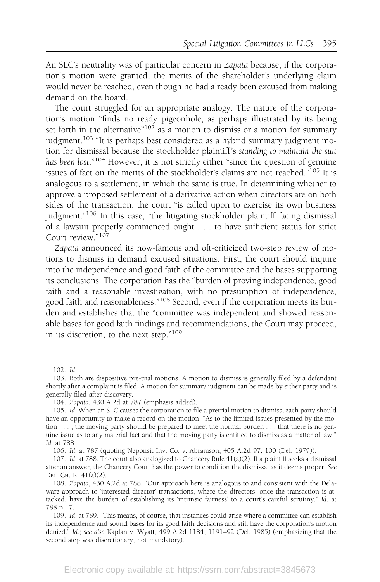An SLC's neutrality was of particular concern in Zapata because, if the corporation's motion were granted, the merits of the shareholder's underlying claim would never be reached, even though he had already been excused from making demand on the board.

The court struggled for an appropriate analogy. The nature of the corporation's motion "finds no ready pigeonhole, as perhaps illustrated by its being set forth in the alternative $n^{102}$  as a motion to dismiss or a motion for summary judgment.<sup>103</sup> "It is perhaps best considered as a hybrid summary judgment motion for dismissal because the stockholder plaintiff 's standing to maintain the suit has been lost."<sup>104</sup> However, it is not strictly either "since the question of genuine issues of fact on the merits of the stockholder's claims are not reached."<sup>105</sup> It is analogous to a settlement, in which the same is true. In determining whether to approve a proposed settlement of a derivative action when directors are on both sides of the transaction, the court "is called upon to exercise its own business judgment."<sup>106</sup> In this case, "the litigating stockholder plaintiff facing dismissal of a lawsuit properly commenced ought . . . to have sufficient status for strict Court review."107

Zapata announced its now-famous and oft-criticized two-step review of motions to dismiss in demand excused situations. First, the court should inquire into the independence and good faith of the committee and the bases supporting its conclusions. The corporation has the "burden of proving independence, good faith and a reasonable investigation, with no presumption of independence, good faith and reasonableness."108 Second, even if the corporation meets its burden and establishes that the "committee was independent and showed reasonable bases for good faith findings and recommendations, the Court may proceed, in its discretion, to the next step."<sup>109</sup>

<sup>102.</sup> Id.

<sup>103.</sup> Both are dispositive pre-trial motions. A motion to dismiss is generally filed by a defendant shortly after a complaint is filed. A motion for summary judgment can be made by either party and is generally filed after discovery.

<sup>104.</sup> Zapata, 430 A.2d at 787 (emphasis added).

<sup>105.</sup> Id. When an SLC causes the corporation to file a pretrial motion to dismiss, each party should have an opportunity to make a record on the motion. "As to the limited issues presented by the motion . . . , the moving party should be prepared to meet the normal burden . . . that there is no genuine issue as to any material fact and that the moving party is entitled to dismiss as a matter of law." Id. at 788.

<sup>106.</sup> Id. at 787 (quoting Neponsit Inv. Co. v. Abramson, 405 A.2d 97, 100 (Del. 1979)).

<sup>107.</sup> Id. at 788. The court also analogized to Chancery Rule  $41(a)(2)$ . If a plaintiff seeks a dismissal after an answer, the Chancery Court has the power to condition the dismissal as it deems proper. See DEL. CH. R. 41(a)(2).

<sup>108.</sup> Zapata, 430 A.2d at 788. "Our approach here is analogous to and consistent with the Delaware approach to 'interested director' transactions, where the directors, once the transaction is attacked, have the burden of establishing its 'intrinsic fairness' to a court's careful scrutiny." Id. at 788 n.17.

<sup>109.</sup> Id. at 789. "This means, of course, that instances could arise where a committee can establish its independence and sound bases for its good faith decisions and still have the corporation's motion denied." Id.; see also Kaplan v. Wyatt, 499 A.2d 1184, 1191-92 (Del. 1985) (emphasizing that the second step was discretionary, not mandatory).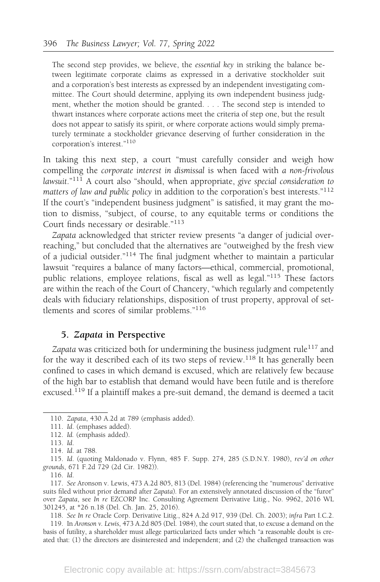The second step provides, we believe, the essential key in striking the balance between legitimate corporate claims as expressed in a derivative stockholder suit and a corporation's best interests as expressed by an independent investigating committee. The Court should determine, applying its own independent business judgment, whether the motion should be granted. . . . The second step is intended to thwart instances where corporate actions meet the criteria of step one, but the result does not appear to satisfy its spirit, or where corporate actions would simply prematurely terminate a stockholder grievance deserving of further consideration in the corporation's interest."<sup>110</sup>

In taking this next step, a court "must carefully consider and weigh how compelling the corporate interest in dismissal is when faced with a non-frivolous lawsuit." $111$  A court also "should, when appropriate, give special consideration to matters of law and public policy in addition to the corporation's best interests."<sup>112</sup> If the court's "independent business judgment" is satisfied, it may grant the motion to dismiss, "subject, of course, to any equitable terms or conditions the Court finds necessary or desirable."<sup>113</sup>

Zapata acknowledged that stricter review presents "a danger of judicial overreaching," but concluded that the alternatives are "outweighed by the fresh view of a judicial outsider."114 The final judgment whether to maintain a particular lawsuit "requires a balance of many factors—ethical, commercial, promotional, public relations, employee relations, fiscal as well as legal."<sup>115</sup> These factors are within the reach of the Court of Chancery, "which regularly and competently deals with fiduciary relationships, disposition of trust property, approval of settlements and scores of similar problems."<sup>116</sup>

### 5. Zapata in Perspective

Zapata was criticized both for undermining the business judgment rule<sup>117</sup> and for the way it described each of its two steps of review.<sup>118</sup> It has generally been confined to cases in which demand is excused, which are relatively few because of the high bar to establish that demand would have been futile and is therefore excused.<sup>119</sup> If a plaintiff makes a pre-suit demand, the demand is deemed a tacit

115. Id. (quoting Maldonado v. Flynn, 485 F. Supp. 274, 285 (S.D.N.Y. 1980), rev'd on other grounds, 671 F.2d 729 (2d Cir. 1982)).

118. See In re Oracle Corp. Derivative Litig., 824 A.2d 917, 939 (Del. Ch. 2003); infra Part I.C.2.

119. In Aronson v. Lewis, 473 A.2d 805 (Del. 1984), the court stated that, to excuse a demand on the basis of futility, a shareholder must allege particularized facts under which "a reasonable doubt is created that: (1) the directors are disinterested and independent; and (2) the challenged transaction was

<sup>110.</sup> Zapata, 430 A.2d at 789 (emphasis added).

<sup>111.</sup> Id. (emphases added).

<sup>112.</sup> Id. (emphasis added).

<sup>113.</sup> Id.

<sup>114.</sup> Id. at 788.

<sup>116.</sup> Id.

<sup>117.</sup> See Aronson v. Lewis, 473 A.2d 805, 813 (Del. 1984) (referencing the "numerous" derivative suits filed without prior demand after Zapata). For an extensively annotated discussion of the "furor" over Zapata, see In re EZCORP Inc. Consulting Agreement Derivative Litig., No. 9962, 2016 WL 301245, at \*26 n.18 (Del. Ch. Jan. 25, 2016).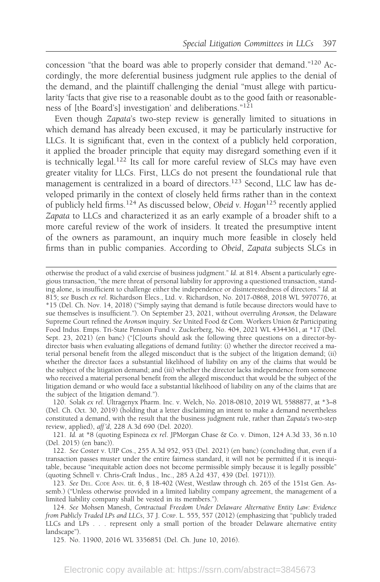concession "that the board was able to properly consider that demand."120 Accordingly, the more deferential business judgment rule applies to the denial of the demand, and the plaintiff challenging the denial "must allege with particularity 'facts that give rise to a reasonable doubt as to the good faith or reasonableness of [the Board's] investigation' and deliberations."<sup>121</sup>

Even though Zapata's two-step review is generally limited to situations in which demand has already been excused, it may be particularly instructive for LLCs. It is significant that, even in the context of a publicly held corporation, it applied the broader principle that equity may disregard something even if it is technically legal.<sup>122</sup> Its call for more careful review of SLCs may have even greater vitality for LLCs. First, LLCs do not present the foundational rule that management is centralized in a board of directors.<sup>123</sup> Second, LLC law has developed primarily in the context of closely held firms rather than in the context of publicly held firms.<sup>124</sup> As discussed below, Obeid v. Hogan<sup>125</sup> recently applied Zapata to LLCs and characterized it as an early example of a broader shift to a more careful review of the work of insiders. It treated the presumptive intent of the owners as paramount, an inquiry much more feasible in closely held firms than in public companies. According to Obeid, Zapata subjects SLCs in

otherwise the product of a valid exercise of business judgment." Id. at 814. Absent a particularly egregious transaction, "the mere threat of personal liability for approving a questioned transaction, standing alone, is insufficient to challenge either the independence or disinterestedness of directors." Id. at 815; see Busch ex rel. Richardson Elecs., Ltd. v. Richardson, No. 2017-0868, 2018 WL 5970776, at \*15 (Del. Ch. Nov. 14, 2018) ("Simply saying that demand is futile because directors would have to sue themselves is insufficient."). On September 23, 2021, without overruling Aronson, the Delaware Supreme Court refined the Aronson inquiry. See United Food & Com. Workers Union & Participating Food Indus. Emps. Tri-State Pension Fund v. Zuckerberg, No. 404, 2021 WL 4344361, at \*17 (Del. Sept. 23, 2021) (en banc) ("[C]ourts should ask the following three questions on a director-bydirector basis when evaluating allegations of demand futility: (i) whether the director received a material personal benefit from the alleged misconduct that is the subject of the litigation demand; (ii) whether the director faces a substantial likelihood of liability on any of the claims that would be the subject of the litigation demand; and (iii) whether the director lacks independence from someone who received a material personal benefit from the alleged misconduct that would be the subject of the litigation demand or who would face a substantial likelihood of liability on any of the claims that are the subject of the litigation demand.").

120. Solak ex rel. Ultragenyx Pharm. Inc. v. Welch, No. 2018-0810, 2019 WL 5588877, at \*3–8 (Del. Ch. Oct. 30, 2019) (holding that a letter disclaiming an intent to make a demand nevertheless constituted a demand, with the result that the business judgment rule, rather than Zapata's two-step review, applied), aff 'd, 228 A.3d 690 (Del. 2020).

121. Id. at \*8 (quoting Espinoza ex rel. JPMorgan Chase & Co. v. Dimon, 124 A.3d 33, 36 n.10 (Del. 2015) (en banc)).

122. See Coster v. UIP Cos., 255 A.3d 952, 953 (Del. 2021) (en banc) (concluding that, even if a transaction passes muster under the entire fairness standard, it will not be permitted if it is inequitable, because "inequitable action does not become permissible simply because it is legally possible" (quoting Schnell v. Chris-Craft Indus., Inc., 285 A.2d 437, 439 (Del. 1971))).

123. See DEL. CODE ANN. tit. 6, § 18-402 (West, Westlaw through ch. 265 of the 151st Gen. Assemb.) ("Unless otherwise provided in a limited liability company agreement, the management of a limited liability company shall be vested in its members.").

124. See Mohsen Manesh, Contractual Freedom Under Delaware Alternative Entity Law: Evidence from Publicly Traded LPs and LLCs, 37 J. CORP. L. 555, 557 (2012) (emphasizing that "publicly traded LLCs and LPs . . . represent only a small portion of the broader Delaware alternative entity landscape").

125. No. 11900, 2016 WL 3356851 (Del. Ch. June 10, 2016).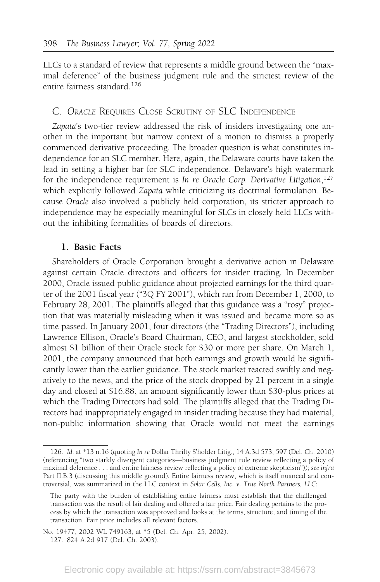LLCs to a standard of review that represents a middle ground between the "maximal deference" of the business judgment rule and the strictest review of the entire fairness standard.<sup>126</sup>

### C. ORACLE REQUIRES CLOSE SCRUTINY OF SLC INDEPENDENCE

Zapata's two-tier review addressed the risk of insiders investigating one another in the important but narrow context of a motion to dismiss a properly commenced derivative proceeding. The broader question is what constitutes independence for an SLC member. Here, again, the Delaware courts have taken the lead in setting a higher bar for SLC independence. Delaware's high watermark for the independence requirement is In re Oracle Corp. Derivative Litigation,<sup>127</sup> which explicitly followed Zapata while criticizing its doctrinal formulation. Because Oracle also involved a publicly held corporation, its stricter approach to independence may be especially meaningful for SLCs in closely held LLCs without the inhibiting formalities of boards of directors.

### 1. Basic Facts

Shareholders of Oracle Corporation brought a derivative action in Delaware against certain Oracle directors and officers for insider trading. In December 2000, Oracle issued public guidance about projected earnings for the third quarter of the 2001 fiscal year ("3Q FY 2001"), which ran from December 1, 2000, to February 28, 2001. The plaintiffs alleged that this guidance was a "rosy" projection that was materially misleading when it was issued and became more so as time passed. In January 2001, four directors (the "Trading Directors"), including Lawrence Ellison, Oracle's Board Chairman, CEO, and largest stockholder, sold almost \$1 billion of their Oracle stock for \$30 or more per share. On March 1, 2001, the company announced that both earnings and growth would be significantly lower than the earlier guidance. The stock market reacted swiftly and negatively to the news, and the price of the stock dropped by 21 percent in a single day and closed at \$16.88, an amount significantly lower than \$30-plus prices at which the Trading Directors had sold. The plaintiffs alleged that the Trading Directors had inappropriately engaged in insider trading because they had material, non-public information showing that Oracle would not meet the earnings

<sup>126.</sup> Id. at \*13 n.16 (quoting In re Dollar Thrifty S'holder Litig., 14 A.3d 573, 597 (Del. Ch. 2010) (referencing "two starkly divergent categories—business judgment rule review reflecting a policy of maximal deference . . . and entire fairness review reflecting a policy of extreme skepticism")); see infra Part II.B.3 (discussing this middle ground). Entire fairness review, which is itself nuanced and controversial, was summarized in the LLC context in Solar Cells, Inc. v. True North Partners, LLC:

The party with the burden of establishing entire fairness must establish that the challenged transaction was the result of fair dealing and offered a fair price. Fair dealing pertains to the process by which the transaction was approved and looks at the terms, structure, and timing of the transaction. Fair price includes all relevant factors. . . .

No. 19477, 2002 WL 749163, at \*5 (Del. Ch. Apr. 25, 2002). 127. 824 A.2d 917 (Del. Ch. 2003).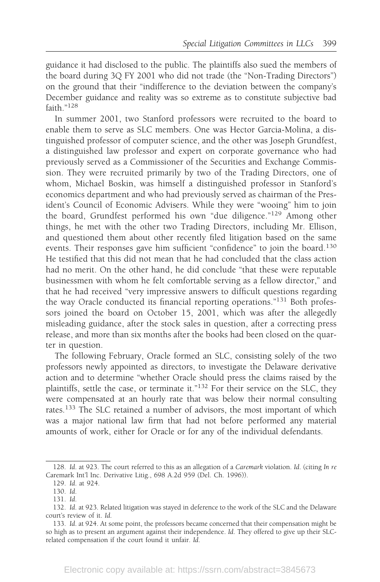guidance it had disclosed to the public. The plaintiffs also sued the members of the board during 3Q FY 2001 who did not trade (the "Non-Trading Directors") on the ground that their "indifference to the deviation between the company's December guidance and reality was so extreme as to constitute subjective bad faith."<sup>128</sup>

In summer 2001, two Stanford professors were recruited to the board to enable them to serve as SLC members. One was Hector Garcia-Molina, a distinguished professor of computer science, and the other was Joseph Grundfest, a distinguished law professor and expert on corporate governance who had previously served as a Commissioner of the Securities and Exchange Commission. They were recruited primarily by two of the Trading Directors, one of whom, Michael Boskin, was himself a distinguished professor in Stanford's economics department and who had previously served as chairman of the President's Council of Economic Advisers. While they were "wooing" him to join the board, Grundfest performed his own "due diligence."<sup>129</sup> Among other things, he met with the other two Trading Directors, including Mr. Ellison, and questioned them about other recently filed litigation based on the same events. Their responses gave him sufficient "confidence" to join the board.<sup>130</sup> He testified that this did not mean that he had concluded that the class action had no merit. On the other hand, he did conclude "that these were reputable businessmen with whom he felt comfortable serving as a fellow director," and that he had received "very impressive answers to difficult questions regarding the way Oracle conducted its financial reporting operations."<sup>131</sup> Both professors joined the board on October 15, 2001, which was after the allegedly misleading guidance, after the stock sales in question, after a correcting press release, and more than six months after the books had been closed on the quarter in question.

The following February, Oracle formed an SLC, consisting solely of the two professors newly appointed as directors, to investigate the Delaware derivative action and to determine "whether Oracle should press the claims raised by the plaintiffs, settle the case, or terminate it."<sup>132</sup> For their service on the SLC, they were compensated at an hourly rate that was below their normal consulting rates.<sup>133</sup> The SLC retained a number of advisors, the most important of which was a major national law firm that had not before performed any material amounts of work, either for Oracle or for any of the individual defendants.

<sup>128.</sup> Id. at 923. The court referred to this as an allegation of a Caremark violation. Id. (citing In re Caremark Int'l Inc. Derivative Litig., 698 A.2d 959 (Del. Ch. 1996)).

<sup>129.</sup> Id. at 924.

<sup>130.</sup> Id.

<sup>131.</sup> Id.

<sup>132.</sup> Id. at 923. Related litigation was stayed in deference to the work of the SLC and the Delaware court's review of it. Id.

<sup>133.</sup> Id. at 924. At some point, the professors became concerned that their compensation might be so high as to present an argument against their independence. Id. They offered to give up their SLCrelated compensation if the court found it unfair. Id.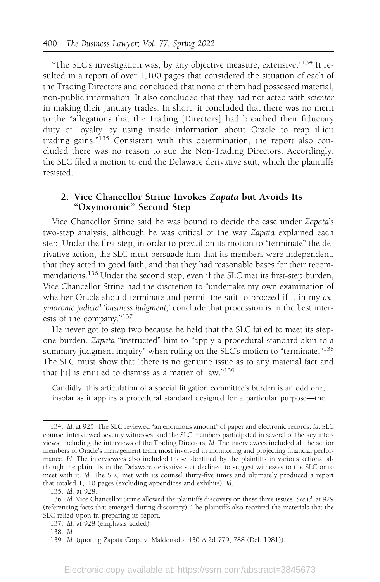"The SLC's investigation was, by any objective measure, extensive."<sup>134</sup> It resulted in a report of over 1,100 pages that considered the situation of each of the Trading Directors and concluded that none of them had possessed material, non-public information. It also concluded that they had not acted with scienter in making their January trades. In short, it concluded that there was no merit to the "allegations that the Trading [Directors] had breached their fiduciary duty of loyalty by using inside information about Oracle to reap illicit trading gains."<sup>135</sup> Consistent with this determination, the report also concluded there was no reason to sue the Non-Trading Directors. Accordingly, the SLC filed a motion to end the Delaware derivative suit, which the plaintiffs resisted.

### 2. Vice Chancellor Strine Invokes Zapata but Avoids Its "Oxymoronic" Second Step

Vice Chancellor Strine said he was bound to decide the case under Zapata's two-step analysis, although he was critical of the way Zapata explained each step. Under the first step, in order to prevail on its motion to "terminate" the derivative action, the SLC must persuade him that its members were independent, that they acted in good faith, and that they had reasonable bases for their recommendations.<sup>136</sup> Under the second step, even if the SLC met its first-step burden, Vice Chancellor Strine had the discretion to "undertake my own examination of whether Oracle should terminate and permit the suit to proceed if I, in my oxymoronic judicial 'business judgment,' conclude that procession is in the best interests of the company."<sup>137</sup>

He never got to step two because he held that the SLC failed to meet its stepone burden. Zapata "instructed" him to "apply a procedural standard akin to a summary judgment inquiry" when ruling on the SLC's motion to "terminate."<sup>138</sup> The SLC must show that "there is no genuine issue as to any material fact and that [it] is entitled to dismiss as a matter of law."<sup>139</sup>

Candidly, this articulation of a special litigation committee's burden is an odd one, insofar as it applies a procedural standard designed for a particular purpose—the

<sup>134.</sup> Id. at 925. The SLC reviewed "an enormous amount" of paper and electronic records. Id. SLC counsel interviewed seventy witnesses, and the SLC members participated in several of the key interviews, including the interviews of the Trading Directors. Id. The interviewees included all the senior members of Oracle's management team most involved in monitoring and projecting financial performance. Id. The interviewees also included those identified by the plaintiffs in various actions, although the plaintiffs in the Delaware derivative suit declined to suggest witnesses to the SLC or to meet with it. Id. The SLC met with its counsel thirty-five times and ultimately produced a report that totaled 1,110 pages (excluding appendices and exhibits). Id.

<sup>135.</sup> Id. at 928.

<sup>136.</sup> Id. Vice Chancellor Strine allowed the plaintiffs discovery on these three issues. See id. at 929 (referencing facts that emerged during discovery). The plaintiffs also received the materials that the SLC relied upon in preparing its report.

<sup>137.</sup> Id. at 928 (emphasis added).

<sup>138.</sup> Id.

<sup>139.</sup> Id. (quoting Zapata Corp. v. Maldonado, 430 A.2d 779, 788 (Del. 1981)).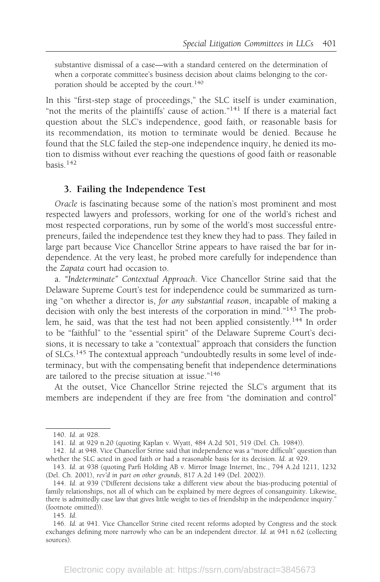substantive dismissal of a case—with a standard centered on the determination of when a corporate committee's business decision about claims belonging to the corporation should be accepted by the court.<sup>140</sup>

In this "first-step stage of proceedings," the SLC itself is under examination, "not the merits of the plaintiffs' cause of action."<sup>141</sup> If there is a material fact question about the SLC's independence, good faith, or reasonable basis for its recommendation, its motion to terminate would be denied. Because he found that the SLC failed the step-one independence inquiry, he denied its motion to dismiss without ever reaching the questions of good faith or reasonable basis.<sup>142</sup>

### 3. Failing the Independence Test

Oracle is fascinating because some of the nation's most prominent and most respected lawyers and professors, working for one of the world's richest and most respected corporations, run by some of the world's most successful entrepreneurs, failed the independence test they knew they had to pass. They failed in large part because Vice Chancellor Strine appears to have raised the bar for independence. At the very least, he probed more carefully for independence than the Zapata court had occasion to.

a. "Indeterminate" Contextual Approach. Vice Chancellor Strine said that the Delaware Supreme Court's test for independence could be summarized as turning "on whether a director is, for any substantial reason, incapable of making a decision with only the best interests of the corporation in mind."<sup>143</sup> The problem, he said, was that the test had not been applied consistently.<sup>144</sup> In order to be "faithful" to the "essential spirit" of the Delaware Supreme Court's decisions, it is necessary to take a "contextual" approach that considers the function of SLCs.<sup>145</sup> The contextual approach "undoubtedly results in some level of indeterminacy, but with the compensating benefit that independence determinations are tailored to the precise situation at issue."<sup>146</sup>

At the outset, Vice Chancellor Strine rejected the SLC's argument that its members are independent if they are free from "the domination and control"

<sup>140.</sup> Id. at 928.

<sup>141.</sup> Id. at 929 n.20 (quoting Kaplan v. Wyatt, 484 A.2d 501, 519 (Del. Ch. 1984)).

<sup>142.</sup> Id. at 948. Vice Chancellor Strine said that independence was a "more difficult" question than whether the SLC acted in good faith or had a reasonable basis for its decision. Id. at 929.

<sup>143.</sup> Id. at 938 (quoting Parfi Holding AB v. Mirror Image Internet, Inc., 794 A.2d 1211, 1232 (Del. Ch. 2001), rev'd in part on other grounds, 817 A.2d 149 (Del. 2002)).

<sup>144.</sup> Id. at 939 ("Different decisions take a different view about the bias-producing potential of family relationships, not all of which can be explained by mere degrees of consanguinity. Likewise, there is admittedly case law that gives little weight to ties of friendship in the independence inquiry." (footnote omitted)).

<sup>145.</sup> Id.

<sup>146.</sup> Id. at 941. Vice Chancellor Strine cited recent reforms adopted by Congress and the stock exchanges defining more narrowly who can be an independent director. Id. at 941 n.62 (collecting sources).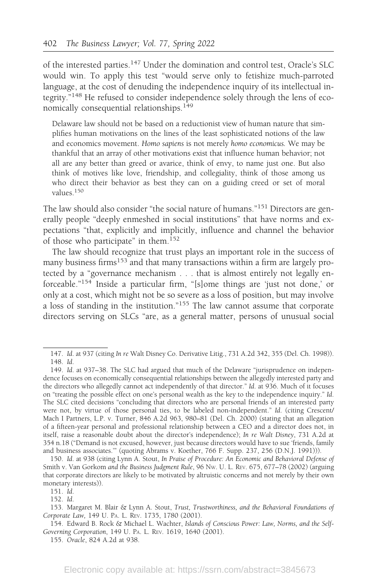of the interested parties.<sup>147</sup> Under the domination and control test, Oracle's SLC would win. To apply this test "would serve only to fetishize much-parroted language, at the cost of denuding the independence inquiry of its intellectual integrity."<sup>148</sup> He refused to consider independence solely through the lens of economically consequential relationships.<sup>149</sup>

Delaware law should not be based on a reductionist view of human nature that simplifies human motivations on the lines of the least sophisticated notions of the law and economics movement. Homo sapiens is not merely homo economicus. We may be thankful that an array of other motivations exist that influence human behavior; not all are any better than greed or avarice, think of envy, to name just one. But also think of motives like love, friendship, and collegiality, think of those among us who direct their behavior as best they can on a guiding creed or set of moral values<sup>150</sup>

The law should also consider "the social nature of humans."<sup>151</sup> Directors are generally people "deeply enmeshed in social institutions" that have norms and expectations "that, explicitly and implicitly, influence and channel the behavior of those who participate" in them.<sup>152</sup>

The law should recognize that trust plays an important role in the success of many business firms<sup>153</sup> and that many transactions within a firm are largely protected by a "governance mechanism . . . that is almost entirely not legally enforceable."<sup>154</sup> Inside a particular firm, "[s]ome things are 'just not done,' or only at a cost, which might not be so severe as a loss of position, but may involve a loss of standing in the institution."<sup>155</sup> The law cannot assume that corporate directors serving on SLCs "are, as a general matter, persons of unusual social

<sup>147.</sup> Id. at 937 (citing In re Walt Disney Co. Derivative Litig., 731 A.2d 342, 355 (Del. Ch. 1998)). 148. Id.

<sup>149.</sup> Id. at 937–38. The SLC had argued that much of the Delaware "jurisprudence on independence focuses on economically consequential relationships between the allegedly interested party and the directors who allegedly cannot act independently of that director." Id. at 936. Much of it focuses on "treating the possible effect on one's personal wealth as the key to the independence inquiry." Id. The SLC cited decisions "concluding that directors who are personal friends of an interested party were not, by virtue of those personal ties, to be labeled non-independent." Id. (citing Crescent/ Mach I Partners, L.P. v. Turner, 846 A.2d 963, 980–81 (Del. Ch. 2000) (stating that an allegation of a fifteen-year personal and professional relationship between a CEO and a director does not, in itself, raise a reasonable doubt about the director's independence); In re Walt Disney, 731 A.2d at 354 n.18 ("Demand is not excused, however, just because directors would have to sue 'friends, family and business associates.'" (quoting Abrams v. Koether, 766 F. Supp. 237, 256 (D.N.J. 1991))).

<sup>150.</sup> Id. at 938 (citing Lynn A. Stout, In Praise of Procedure: An Economic and Behavioral Defense of Smith v. Van Gorkom and the Business Judgment Rule, 96 NW. U. L. REV. 675, 677–78 (2002) (arguing that corporate directors are likely to be motivated by altruistic concerns and not merely by their own monetary interests)).

<sup>152.</sup> Id.

<sup>153.</sup> Margaret M. Blair & Lynn A. Stout, Trust, Trustworthiness, and the Behavioral Foundations of Corporate Law, 149 U. PA. L. REV. 1735, 1780 (2001).

<sup>154.</sup> Edward B. Rock & Michael L. Wachter, Islands of Conscious Power: Law, Norms, and the Self-Governing Corporation, 149 U. PA. L. REV. 1619, 1640 (2001).

<sup>155.</sup> Oracle, 824 A.2d at 938.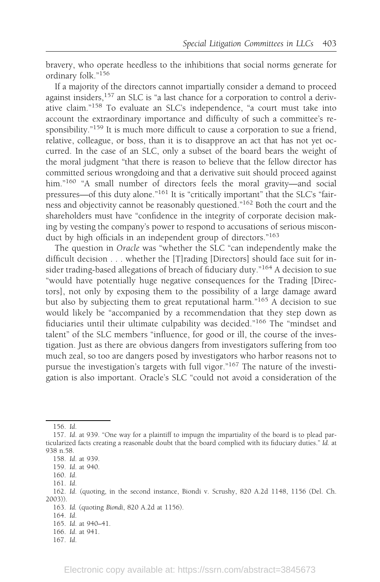bravery, who operate heedless to the inhibitions that social norms generate for ordinary folk."<sup>156</sup>

If a majority of the directors cannot impartially consider a demand to proceed against insiders,<sup>157</sup> an SLC is "a last chance for a corporation to control a derivative claim."<sup>158</sup> To evaluate an SLC's independence, "a court must take into account the extraordinary importance and difficulty of such a committee's responsibility."<sup>159</sup> It is much more difficult to cause a corporation to sue a friend, relative, colleague, or boss, than it is to disapprove an act that has not yet occurred. In the case of an SLC, only a subset of the board bears the weight of the moral judgment "that there is reason to believe that the fellow director has committed serious wrongdoing and that a derivative suit should proceed against him."<sup>160</sup> "A small number of directors feels the moral gravity—and social pressures—of this duty alone."<sup>161</sup> It is "critically important" that the SLC's "fairness and objectivity cannot be reasonably questioned."162 Both the court and the shareholders must have "confidence in the integrity of corporate decision making by vesting the company's power to respond to accusations of serious misconduct by high officials in an independent group of directors."<sup>163</sup>

The question in Oracle was "whether the SLC "can independently make the difficult decision . . . whether the [T]rading [Directors] should face suit for insider trading-based allegations of breach of fiduciary duty."<sup>164</sup> A decision to sue "would have potentially huge negative consequences for the Trading [Directors], not only by exposing them to the possibility of a large damage award but also by subjecting them to great reputational harm."<sup>165</sup> A decision to sue would likely be "accompanied by a recommendation that they step down as fiduciaries until their ultimate culpability was decided."<sup>166</sup> The "mindset and talent" of the SLC members "influence, for good or ill, the course of the investigation. Just as there are obvious dangers from investigators suffering from too much zeal, so too are dangers posed by investigators who harbor reasons not to pursue the investigation's targets with full vigor."<sup>167</sup> The nature of the investigation is also important. Oracle's SLC "could not avoid a consideration of the

<sup>156.</sup> Id.

<sup>157.</sup> Id. at 939. "One way for a plaintiff to impugn the impartiality of the board is to plead particularized facts creating a reasonable doubt that the board complied with its fiduciary duties." Id. at 938 n.58.

<sup>158.</sup> Id. at 939.

<sup>159.</sup> Id. at 940.

<sup>160.</sup> Id.

<sup>161.</sup> Id.

<sup>162.</sup> Id. (quoting, in the second instance, Biondi v. Scrushy, 820 A.2d 1148, 1156 (Del. Ch. 2003)).

<sup>163.</sup> Id. (quoting Biondi, 820 A.2d at 1156).

<sup>164.</sup> Id.

<sup>165.</sup> Id. at 940–41.

<sup>166.</sup> Id. at 941.

<sup>167.</sup> Id.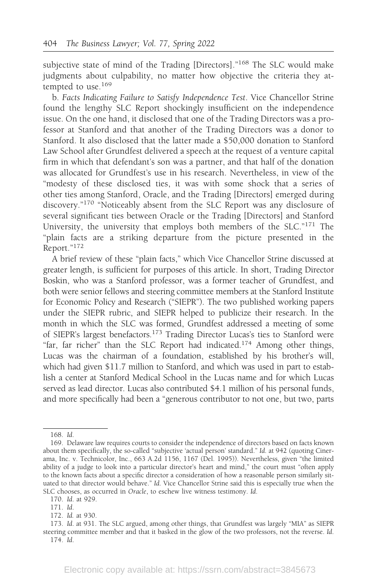subjective state of mind of the Trading [Directors]."<sup>168</sup> The SLC would make judgments about culpability, no matter how objective the criteria they attempted to use. $169$ 

b. Facts Indicating Failure to Satisfy Independence Test. Vice Chancellor Strine found the lengthy SLC Report shockingly insufficient on the independence issue. On the one hand, it disclosed that one of the Trading Directors was a professor at Stanford and that another of the Trading Directors was a donor to Stanford. It also disclosed that the latter made a \$50,000 donation to Stanford Law School after Grundfest delivered a speech at the request of a venture capital firm in which that defendant's son was a partner, and that half of the donation was allocated for Grundfest's use in his research. Nevertheless, in view of the "modesty of these disclosed ties, it was with some shock that a series of other ties among Stanford, Oracle, and the Trading [Directors] emerged during discovery."<sup>170</sup> "Noticeably absent from the SLC Report was any disclosure of several significant ties between Oracle or the Trading [Directors] and Stanford University, the university that employs both members of the SLC."<sup>171</sup> The "plain facts are a striking departure from the picture presented in the Report."<sup>172</sup>

A brief review of these "plain facts," which Vice Chancellor Strine discussed at greater length, is sufficient for purposes of this article. In short, Trading Director Boskin, who was a Stanford professor, was a former teacher of Grundfest, and both were senior fellows and steering committee members at the Stanford Institute for Economic Policy and Research ("SIEPR"). The two published working papers under the SIEPR rubric, and SIEPR helped to publicize their research. In the month in which the SLC was formed, Grundfest addressed a meeting of some of SIEPR's largest benefactors.173 Trading Director Lucas's ties to Stanford were "far, far richer" than the SLC Report had indicated.<sup>174</sup> Among other things, Lucas was the chairman of a foundation, established by his brother's will, which had given \$11.7 million to Stanford, and which was used in part to establish a center at Stanford Medical School in the Lucas name and for which Lucas served as lead director. Lucas also contributed \$4.1 million of his personal funds, and more specifically had been a "generous contributor to not one, but two, parts

<sup>168.</sup> Id.

<sup>169.</sup> Delaware law requires courts to consider the independence of directors based on facts known about them specifically, the so-called "subjective 'actual person' standard." Id. at 942 (quoting Cinerama, Inc. v. Technicolor, Inc., 663 A.2d 1156, 1167 (Del. 1995)). Nevertheless, given "the limited ability of a judge to look into a particular director's heart and mind," the court must "often apply to the known facts about a specific director a consideration of how a reasonable person similarly situated to that director would behave." Id. Vice Chancellor Strine said this is especially true when the SLC chooses, as occurred in Oracle, to eschew live witness testimony. Id.

<sup>170.</sup> Id. at 929.

<sup>171.</sup> Id.

<sup>172.</sup> Id. at 930.

<sup>173.</sup> Id. at 931. The SLC argued, among other things, that Grundfest was largely "MIA" as SIEPR steering committee member and that it basked in the glow of the two professors, not the reverse. Id. 174. Id.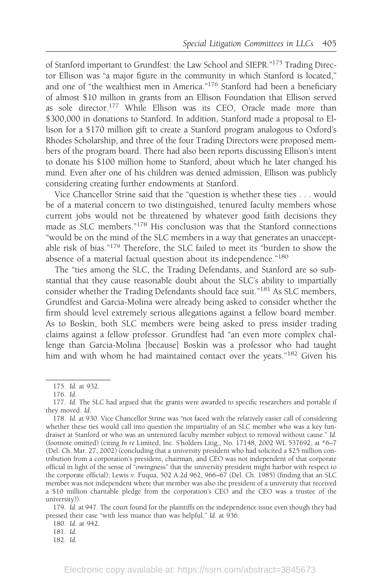of Stanford important to Grundfest: the Law School and SIEPR."175 Trading Director Ellison was "a major figure in the community in which Stanford is located," and one of "the wealthiest men in America."176 Stanford had been a beneficiary of almost \$10 million in grants from an Ellison Foundation that Ellison served as sole director.<sup>177</sup> While Ellison was its CEO, Oracle made more than \$300,000 in donations to Stanford. In addition, Stanford made a proposal to Ellison for a \$170 million gift to create a Stanford program analogous to Oxford's Rhodes Scholarship, and three of the four Trading Directors were proposed members of the program board. There had also been reports discussing Ellison's intent to donate his \$100 million home to Stanford, about which he later changed his mind. Even after one of his children was denied admission, Ellison was publicly considering creating further endowments at Stanford.

Vice Chancellor Strine said that the "question is whether these ties . . . would be of a material concern to two distinguished, tenured faculty members whose current jobs would not be threatened by whatever good faith decisions they made as SLC members."<sup>178</sup> His conclusion was that the Stanford connections "would be on the mind of the SLC members in a way that generates an unacceptable risk of bias."<sup>179</sup> Therefore, the SLC failed to meet its "burden to show the absence of a material factual question about its independence."<sup>180</sup>

The "ties among the SLC, the Trading Defendants, and Stanford are so substantial that they cause reasonable doubt about the SLC's ability to impartially consider whether the Trading Defendants should face suit."<sup>181</sup> As SLC members, Grundfest and Garcia-Molina were already being asked to consider whether the firm should level extremely serious allegations against a fellow board member. As to Boskin, both SLC members were being asked to press insider trading claims against a fellow professor. Grundfest had "an even more complex challenge than Garcia-Molina [because] Boskin was a professor who had taught him and with whom he had maintained contact over the years."<sup>182</sup> Given his

179. Id. at 947. The court found for the plaintiffs on the independence issue even though they had pressed their case "with less nuance than was helpful." Id. at 936.

180. Id. at 942.

181. Id.

<sup>175.</sup> Id. at 932.

<sup>176.</sup> Id.

<sup>177.</sup> Id. The SLC had argued that the grants were awarded to specific researchers and portable if they moved. Id.

<sup>178.</sup> Id. at 930. Vice Chancellor Strine was "not faced with the relatively easier call of considering whether these ties would call into question the impartiality of an SLC member who was a key fundraiser at Stanford or who was an untenured faculty member subject to removal without cause." Id. (footnote omitted) (citing In re Limited, Inc. S'holders Litig., No. 17148, 2002 WL 537692, at \*6–7 (Del. Ch. Mar. 27, 2002) (concluding that a university president who had solicited a \$25 million contribution from a corporation's president, chairman, and CEO was not independent of that corporate official in light of the sense of "owingness" that the university president might harbor with respect to the corporate official); Lewis v. Fuqua, 502 A.2d 962, 966–67 (Del. Ch. 1985) (finding that an SLC member was not independent where that member was also the president of a university that received a \$10 million charitable pledge from the corporation's CEO and the CEO was a trustee of the university)).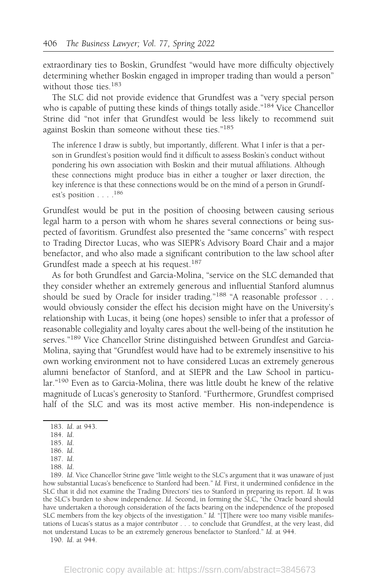extraordinary ties to Boskin, Grundfest "would have more difficulty objectively determining whether Boskin engaged in improper trading than would a person" without those ties.<sup>183</sup>

The SLC did not provide evidence that Grundfest was a "very special person who is capable of putting these kinds of things totally aside."<sup>184</sup> Vice Chancellor Strine did "not infer that Grundfest would be less likely to recommend suit against Boskin than someone without these ties."<sup>185</sup>

The inference I draw is subtly, but importantly, different. What I infer is that a person in Grundfest's position would find it difficult to assess Boskin's conduct without pondering his own association with Boskin and their mutual affiliations. Although these connections might produce bias in either a tougher or laxer direction, the key inference is that these connections would be on the mind of a person in Grundfest's position . . . .186

Grundfest would be put in the position of choosing between causing serious legal harm to a person with whom he shares several connections or being suspected of favoritism. Grundfest also presented the "same concerns" with respect to Trading Director Lucas, who was SIEPR's Advisory Board Chair and a major benefactor, and who also made a significant contribution to the law school after Grundfest made a speech at his request.<sup>187</sup>

As for both Grundfest and Garcia-Molina, "service on the SLC demanded that they consider whether an extremely generous and influential Stanford alumnus should be sued by Oracle for insider trading."<sup>188</sup> "A reasonable professor . . . would obviously consider the effect his decision might have on the University's relationship with Lucas, it being (one hopes) sensible to infer that a professor of reasonable collegiality and loyalty cares about the well-being of the institution he serves."<sup>189</sup> Vice Chancellor Strine distinguished between Grundfest and Garcia-Molina, saying that "Grundfest would have had to be extremely insensitive to his own working environment not to have considered Lucas an extremely generous alumni benefactor of Stanford, and at SIEPR and the Law School in particular."<sup>190</sup> Even as to Garcia-Molina, there was little doubt he knew of the relative magnitude of Lucas's generosity to Stanford. "Furthermore, Grundfest comprised half of the SLC and was its most active member. His non-independence is

189. Id. Vice Chancellor Strine gave "little weight to the SLC's argument that it was unaware of just how substantial Lucas's beneficence to Stanford had been." Id. First, it undermined confidence in the SLC that it did not examine the Trading Directors' ties to Stanford in preparing its report. Id. It was the SLC's burden to show independence. Id. Second, in forming the SLC, "the Oracle board should have undertaken a thorough consideration of the facts bearing on the independence of the proposed SLC members from the key objects of the investigation." Id. "[T]here were too many visible manifestations of Lucas's status as a major contributor . . . to conclude that Grundfest, at the very least, did not understand Lucas to be an extremely generous benefactor to Stanford." Id. at 944.

190. Id. at 944.

<sup>183.</sup> Id. at 943.

<sup>184.</sup> Id.

<sup>185.</sup> Id.

<sup>186.</sup> Id. 187. Id.

<sup>188.</sup> Id.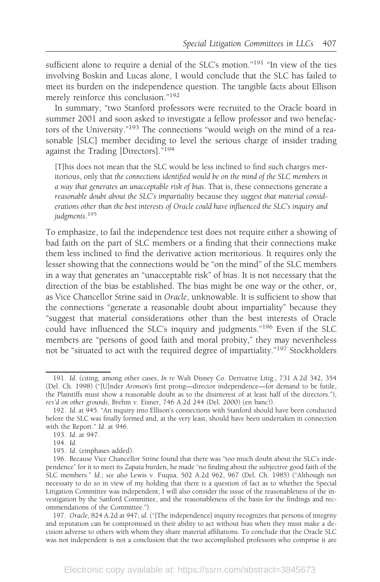sufficient alone to require a denial of the SLC's motion."<sup>191</sup> "In view of the ties involving Boskin and Lucas alone, I would conclude that the SLC has failed to meet its burden on the independence question. The tangible facts about Ellison merely reinforce this conclusion."<sup>192</sup>

In summary, "two Stanford professors were recruited to the Oracle board in summer 2001 and soon asked to investigate a fellow professor and two benefactors of the University."<sup>193</sup> The connections "would weigh on the mind of a reasonable [SLC] member deciding to level the serious charge of insider trading against the Trading [Directors]."<sup>194</sup>

[T]his does not mean that the SLC would be less inclined to find such charges meritorious, only that the connections identified would be on the mind of the SLC members in a way that generates an unacceptable risk of bias. That is, these connections generate a reasonable doubt about the SLC's impartiality because they suggest that material considerations other than the best interests of Oracle could have influenced the SLC's inquiry and judgments. 195

To emphasize, to fail the independence test does not require either a showing of bad faith on the part of SLC members or a finding that their connections make them less inclined to find the derivative action meritorious. It requires only the lesser showing that the connections would be "on the mind" of the SLC members in a way that generates an "unacceptable risk" of bias. It is not necessary that the direction of the bias be established. The bias might be one way or the other, or, as Vice Chancellor Strine said in Oracle, unknowable. It is sufficient to show that the connections "generate a reasonable doubt about impartiality" because they "suggest that material considerations other than the best interests of Oracle could have influenced the SLC's inquiry and judgments."<sup>196</sup> Even if the SLC members are "persons of good faith and moral probity," they may nevertheless not be "situated to act with the required degree of impartiality."<sup>197</sup> Stockholders

<sup>191.</sup> Id. (citing, among other cases, In re Walt Disney Co. Derivative Litig., 731 A.2d 342, 354 (Del. Ch. 1998) ("[U]nder Aronson's first prong—director independence—for demand to be futile, the Plaintiffs must show a reasonable doubt as to the disinterest of at least half of the directors."), rev'd on other grounds, Brehm v. Eisner, 746 A.2d 244 (Del. 2000) (en banc)).

<sup>192.</sup> Id. at 945. "An inquiry into Ellison's connections with Stanford should have been conducted before the SLC was finally formed and, at the very least, should have been undertaken in connection with the Report." Id. at 946.

<sup>193.</sup> Id. at 947.

<sup>194.</sup> Id.

<sup>195.</sup> Id. (emphases added).

<sup>196.</sup> Because Vice Chancellor Strine found that there was "too much doubt about the SLC's independence" for it to meet its Zapata burden, he made "no finding about the subjective good faith of the SLC members." Id.; see also Lewis v. Fuqua, 502 A.2d 962, 967 (Del. Ch. 1985) ("Although not necessary to do so in view of my holding that there is a question of fact as to whether the Special Litigation Committee was independent, I will also consider the issue of the reasonableness of the investigation by the Sanford Committee, and the reasonableness of the basis for the findings and recommendations of the Committee.").

<sup>197.</sup> Oracle, 824 A.2d at 947; id. ("[The independence] inquiry recognizes that persons of integrity and reputation can be compromised in their ability to act without bias when they must make a decision adverse to others with whom they share material affiliations. To conclude that the Oracle SLC was not independent is not a conclusion that the two accomplished professors who comprise it are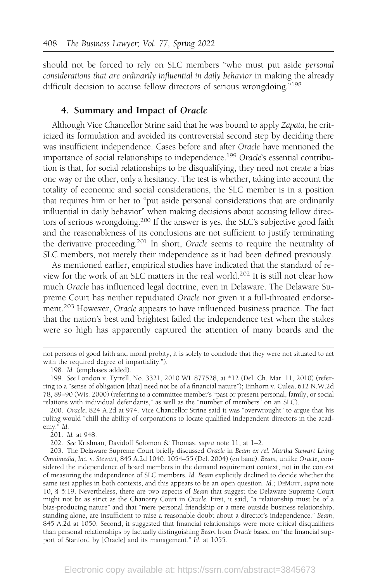should not be forced to rely on SLC members "who must put aside personal considerations that are ordinarily influential in daily behavior in making the already difficult decision to accuse fellow directors of serious wrongdoing."<sup>198</sup>

#### 4. Summary and Impact of Oracle

Although Vice Chancellor Strine said that he was bound to apply Zapata, he criticized its formulation and avoided its controversial second step by deciding there was insufficient independence. Cases before and after Oracle have mentioned the importance of social relationships to independence.<sup>199</sup> Oracle's essential contribution is that, for social relationships to be disqualifying, they need not create a bias one way or the other, only a hesitancy. The test is whether, taking into account the totality of economic and social considerations, the SLC member is in a position that requires him or her to "put aside personal considerations that are ordinarily influential in daily behavior" when making decisions about accusing fellow directors of serious wrongdoing.<sup>200</sup> If the answer is yes, the SLC's subjective good faith and the reasonableness of its conclusions are not sufficient to justify terminating the derivative proceeding.<sup>201</sup> In short, Oracle seems to require the neutrality of SLC members, not merely their independence as it had been defined previously.

As mentioned earlier, empirical studies have indicated that the standard of review for the work of an SLC matters in the real world.<sup>202</sup> It is still not clear how much Oracle has influenced legal doctrine, even in Delaware. The Delaware Supreme Court has neither repudiated Oracle nor given it a full-throated endorsement.<sup>203</sup> However, Oracle appears to have influenced business practice. The fact that the nation's best and brightest failed the independence test when the stakes were so high has apparently captured the attention of many boards and the

201. Id. at 948.

202. See Krishnan, Davidoff Solomon & Thomas, supra note 11, at 1–2.

not persons of good faith and moral probity, it is solely to conclude that they were not situated to act with the required degree of impartiality.").

<sup>198.</sup> Id. (emphases added).

<sup>199.</sup> See London v. Tyrrell, No. 3321, 2010 WL 877528, at \*12 (Del. Ch. Mar. 11, 2010) (referring to a "sense of obligation [that] need not be of a financial nature"); Einhorn v. Culea, 612 N.W.2d 78, 89–90 (Wis. 2000) (referring to a committee member's "past or present personal, family, or social relations with individual defendants," as well as the "number of members" on an SLC).

<sup>200.</sup> Oracle, 824 A.2d at 974. Vice Chancellor Strine said it was "overwrought" to argue that his ruling would "chill the ability of corporations to locate qualified independent directors in the academy." Id.

<sup>203.</sup> The Delaware Supreme Court briefly discussed Oracle in Beam ex rel. Martha Stewart Living Omnimedia, Inc. v. Stewart, 845 A.2d 1040, 1054–55 (Del. 2004) (en banc). Beam, unlike Oracle, considered the independence of board members in the demand requirement context, not in the context of measuring the independence of SLC members. Id. Beam explicitly declined to decide whether the same test applies in both contexts, and this appears to be an open question. Id.; DEMOTT, supra note 10, § 5:19. Nevertheless, there are two aspects of Beam that suggest the Delaware Supreme Court might not be as strict as the Chancery Court in Oracle. First, it said, "a relationship must be of a bias-producing nature" and that "mere personal friendship or a mere outside business relationship, standing alone, are insufficient to raise a reasonable doubt about a director's independence." Beam, 845 A.2d at 1050. Second, it suggested that financial relationships were more critical disqualifiers than personal relationships by factually distinguishing Beam from Oracle based on "the financial support of Stanford by [Oracle] and its management." Id. at 1055.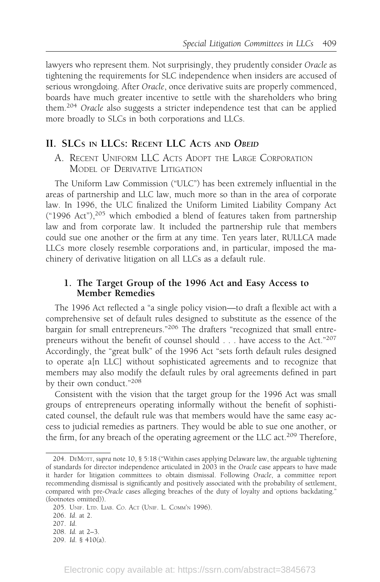lawyers who represent them. Not surprisingly, they prudently consider Oracle as tightening the requirements for SLC independence when insiders are accused of serious wrongdoing. After Oracle, once derivative suits are properly commenced, boards have much greater incentive to settle with the shareholders who bring them.<sup>204</sup> Oracle also suggests a stricter independence test that can be applied more broadly to SLCs in both corporations and LLCs.

## II. SLCS IN LLCS: RECENT LLC ACTS AND OBEID

A. RECENT UNIFORM LLC ACTS ADOPT THE LARGE CORPORATION MODEL OF DERIVATIVE LITIGATION

The Uniform Law Commission ("ULC") has been extremely influential in the areas of partnership and LLC law, much more so than in the area of corporate law. In 1996, the ULC finalized the Uniform Limited Liability Company Act ("1996 Act"), $205$  which embodied a blend of features taken from partnership law and from corporate law. It included the partnership rule that members could sue one another or the firm at any time. Ten years later, RULLCA made LLCs more closely resemble corporations and, in particular, imposed the machinery of derivative litigation on all LLCs as a default rule.

### 1. The Target Group of the 1996 Act and Easy Access to Member Remedies

The 1996 Act reflected a "a single policy vision—to draft a flexible act with a comprehensive set of default rules designed to substitute as the essence of the bargain for small entrepreneurs."<sup>206</sup> The drafters "recognized that small entrepreneurs without the benefit of counsel should . . . have access to the Act."<sup>207</sup> Accordingly, the "great bulk" of the 1996 Act "sets forth default rules designed to operate a[n LLC] without sophisticated agreements and to recognize that members may also modify the default rules by oral agreements defined in part by their own conduct."<sup>208</sup>

Consistent with the vision that the target group for the 1996 Act was small groups of entrepreneurs operating informally without the benefit of sophisticated counsel, the default rule was that members would have the same easy access to judicial remedies as partners. They would be able to sue one another, or the firm, for any breach of the operating agreement or the LLC act.<sup>209</sup> Therefore,

<sup>204.</sup> DEMOTT, supra note 10, § 5:18 ("Within cases applying Delaware law, the arguable tightening of standards for director independence articulated in 2003 in the Oracle case appears to have made it harder for litigation committees to obtain dismissal. Following Oracle, a committee report recommending dismissal is significantly and positively associated with the probability of settlement, compared with pre-Oracle cases alleging breaches of the duty of loyalty and options backdating." (footnotes omitted)).

<sup>205.</sup> UNIF. LTD. LIAB. CO. ACT (UNIF. L. COMM'N 1996).

<sup>206.</sup> Id. at 2.

<sup>207.</sup> Id.

<sup>208.</sup> Id. at 2–3.

<sup>209.</sup> Id. § 410(a).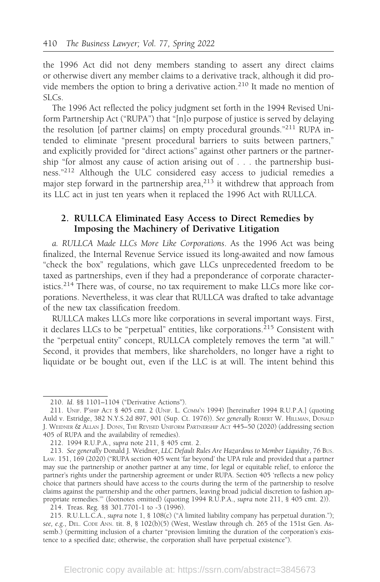the 1996 Act did not deny members standing to assert any direct claims or otherwise divert any member claims to a derivative track, although it did provide members the option to bring a derivative action.<sup>210</sup> It made no mention of SLCs.

The 1996 Act reflected the policy judgment set forth in the 1994 Revised Uniform Partnership Act ("RUPA") that "[n]o purpose of justice is served by delaying the resolution [of partner claims] on empty procedural grounds."<sup>211</sup> RUPA intended to eliminate "present procedural barriers to suits between partners," and explicitly provided for "direct actions" against other partners or the partnership "for almost any cause of action arising out of . . . the partnership business."<sup>212</sup> Although the ULC considered easy access to judicial remedies a major step forward in the partnership area, $213$  it withdrew that approach from its LLC act in just ten years when it replaced the 1996 Act with RULLCA.

### 2. RULLCA Eliminated Easy Access to Direct Remedies by Imposing the Machinery of Derivative Litigation

a. RULLCA Made LLCs More Like Corporations. As the 1996 Act was being finalized, the Internal Revenue Service issued its long-awaited and now famous "check the box" regulations, which gave LLCs unprecedented freedom to be taxed as partnerships, even if they had a preponderance of corporate characteristics.<sup>214</sup> There was, of course, no tax requirement to make LLCs more like corporations. Nevertheless, it was clear that RULLCA was drafted to take advantage of the new tax classification freedom.

RULLCA makes LLCs more like corporations in several important ways. First, it declares LLCs to be "perpetual" entities, like corporations.<sup>215</sup> Consistent with the "perpetual entity" concept, RULLCA completely removes the term "at will." Second, it provides that members, like shareholders, no longer have a right to liquidate or be bought out, even if the LLC is at will. The intent behind this

214. Treas. Reg. §§ 301.7701-1 to -3 (1996).

<sup>210.</sup> Id. §§ 1101–1104 ("Derivative Actions").

<sup>211.</sup> UNIF. P'SHIP ACT § 405 cmt. 2 (UNIF. L. COMM'N 1994) [hereinafter 1994 R.U.P.A.] (quoting Auld v. Estridge, 382 N.Y.S.2d 897, 901 (Sup. Ct. 1976)). See generally ROBERT W. HILLMAN, DONALD J. WEIDNER & ALLAN J. DONN, THE REVISED UNIFORM PARTNERSHIP ACT 445–50 (2020) (addressing section 405 of RUPA and the availability of remedies).

<sup>212. 1994</sup> R.U.P.A., supra note 211, § 405 cmt. 2.

<sup>213.</sup> See generally Donald J. Weidner, LLC Default Rules Are Hazardous to Member Liquidity, 76 Bus. LAW. 151, 169 (2020) ("RUPA section 405 went 'far beyond' the UPA rule and provided that a partner may sue the partnership or another partner at any time, for legal or equitable relief, to enforce the partner's rights under the partnership agreement or under RUPA. Section 405 'reflects a new policy choice that partners should have access to the courts during the term of the partnership to resolve claims against the partnership and the other partners, leaving broad judicial discretion to fashion appropriate remedies."" (footnotes omitted) (quoting 1994 R.U.P.A., supra note 211, § 405 cmt. 2)).

<sup>215.</sup> R.U.L.L.C.A., supra note 1, § 108(c) ("A limited liability company has perpetual duration."); see, e.g., DEL. CODE ANN. tit. 8, § 102(b)(5) (West, Westlaw through ch. 265 of the 151st Gen. Assemb.) (permitting inclusion of a charter "provision limiting the duration of the corporation's existence to a specified date; otherwise, the corporation shall have perpetual existence").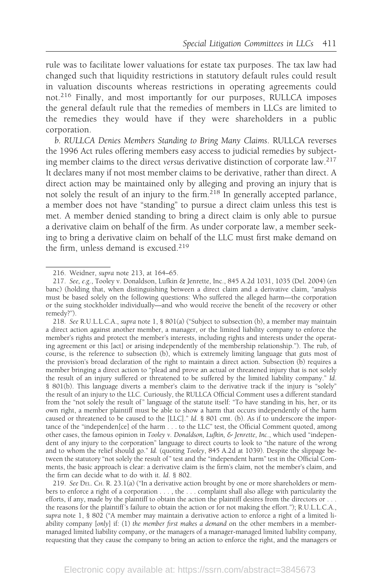rule was to facilitate lower valuations for estate tax purposes. The tax law had changed such that liquidity restrictions in statutory default rules could result in valuation discounts whereas restrictions in operating agreements could not.<sup>216</sup> Finally, and most importantly for our purposes, RULLCA imposes the general default rule that the remedies of members in LLCs are limited to the remedies they would have if they were shareholders in a public corporation.

b. RULLCA Denies Members Standing to Bring Many Claims. RULLCA reverses the 1996 Act rules offering members easy access to judicial remedies by subjecting member claims to the direct versus derivative distinction of corporate law.<sup>217</sup> It declares many if not most member claims to be derivative, rather than direct. A direct action may be maintained only by alleging and proving an injury that is not solely the result of an injury to the firm.<sup>218</sup> In generally accepted parlance, a member does not have "standing" to pursue a direct claim unless this test is met. A member denied standing to bring a direct claim is only able to pursue a derivative claim on behalf of the firm. As under corporate law, a member seeking to bring a derivative claim on behalf of the LLC must first make demand on the firm, unless demand is excused.<sup>219</sup>

218. See R.U.L.L.C.A., supra note 1, § 801(a) ("Subject to subsection (b), a member may maintain a direct action against another member, a manager, or the limited liability company to enforce the member's rights and protect the member's interests, including rights and interests under the operating agreement or this [act] or arising independently of the membership relationship."). The rub, of course, is the reference to subsection (b), which is extremely limiting language that guts most of the provision's broad declaration of the right to maintain a direct action. Subsection (b) requires a member bringing a direct action to "plead and prove an actual or threatened injury that is not solely the result of an injury suffered or threatened to be suffered by the limited liability company." Id. § 801(b). This language diverts a member's claim to the derivative track if the injury is "solely" the result of an injury to the LLC. Curiously, the RULLCA Official Comment uses a different standard from the "not solely the result of " language of the statute itself: "To have standing in his, her, or its own right, a member plaintiff must be able to show a harm that occurs independently of the harm caused or threatened to be caused to the [LLC]." Id. § 801 cmt. (b). As if to underscore the importance of the "independen[ce] of the harm . . . to the LLC" test, the Official Comment quoted, among other cases, the famous opinion in Tooley v. Donaldson, Lufkin, & Jenrette, Inc., which used "independent of any injury to the corporation" language to direct courts to look to "the nature of the wrong and to whom the relief should go." Id. (quoting Tooley, 845 A.2d at 1039). Despite the slippage between the statutory "not solely the result of " test and the "independent harm" test in the Official Comments, the basic approach is clear: a derivative claim is the firm's claim, not the member's claim, and the firm can decide what to do with it. Id. § 802.

219. See DEL. CH. R. 23.1(a) ("In a derivative action brought by one or more shareholders or members to enforce a right of a corporation . . . , the . . . complaint shall also allege with particularity the efforts, if any, made by the plaintiff to obtain the action the plaintiff desires from the directors or . . . the reasons for the plaintiff 's failure to obtain the action or for not making the effort."); R.U.L.L.C.A., supra note 1, § 802 ("A member may maintain a derivative action to enforce a right of a limited liability company [only] if: (1) the member first makes a demand on the other members in a membermanaged limited liability company, or the managers of a manager-managed limited liability company, requesting that they cause the company to bring an action to enforce the right, and the managers or

<sup>216.</sup> Weidner, supra note 213, at 164–65.

<sup>217.</sup> See, e.g., Tooley v. Donaldson, Lufkin & Jenrette, Inc., 845 A.2d 1031, 1035 (Del. 2004) (en banc) (holding that, when distinguishing between a direct claim and a derivative claim, "analysis must be based solely on the following questions: Who suffered the alleged harm—the corporation or the suing stockholder individually—and who would receive the benefit of the recovery or other remedy?").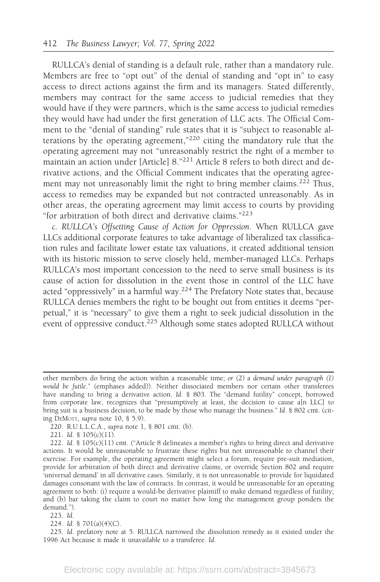RULLCA's denial of standing is a default rule, rather than a mandatory rule. Members are free to "opt out" of the denial of standing and "opt in" to easy access to direct actions against the firm and its managers. Stated differently, members may contract for the same access to judicial remedies that they would have if they were partners, which is the same access to judicial remedies they would have had under the first generation of LLC acts. The Official Comment to the "denial of standing" rule states that it is "subject to reasonable alterations by the operating agreement,"<sup>220</sup> citing the mandatory rule that the operating agreement may not "unreasonably restrict the right of a member to maintain an action under [Article] 8."<sup>221</sup> Article 8 refers to both direct and derivative actions, and the Official Comment indicates that the operating agreement may not unreasonably limit the right to bring member claims.<sup>222</sup> Thus, access to remedies may be expanded but not contracted unreasonably. As in other areas, the operating agreement may limit access to courts by providing "for arbitration of both direct and derivative claims."<sup>223</sup>

c. RULLCA's Offsetting Cause of Action for Oppression. When RULLCA gave LLCs additional corporate features to take advantage of liberalized tax classification rules and facilitate lower estate tax valuations, it created additional tension with its historic mission to serve closely held, member-managed LLCs. Perhaps RULLCA's most important concession to the need to serve small business is its cause of action for dissolution in the event those in control of the LLC have acted "oppressively" in a harmful way.<sup>224</sup> The Prefatory Note states that, because RULLCA denies members the right to be bought out from entities it deems "perpetual," it is "necessary" to give them a right to seek judicial dissolution in the event of oppressive conduct.<sup>225</sup> Although some states adopted RULLCA without

220. R.U.L.L.C.A., supra note 1, § 801 cmt. (b).

221. Id. § 105(c)(11).

223. Id.

224. Id. § 701(a)(4)(C).

225. Id. prefatory note at 5. RULLCA narrowed the dissolution remedy as it existed under the 1996 Act because it made it unavailable to a transferee. Id.

other members do bring the action within a reasonable time; or (2) a demand under paragraph (1) would be futile." (emphases added)). Neither dissociated members nor certain other transferees have standing to bring a derivative action. Id. § 803. The "demand futility" concept, borrowed from corporate law, recognizes that "presumptively at least, the decision to cause a[n LLC] to bring suit is a business decision, to be made by those who manage the business." Id. § 802 cmt. (citing DEMOTT, supra note 10, § 5.9).

<sup>222.</sup> Id. § 105(c)(11) cmt. ("Article 8 delineates a member's rights to bring direct and derivative actions. It would be unreasonable to frustrate these rights but not unreasonable to channel their exercise. For example, the operating agreement might select a forum, require pre-suit mediation, provide for arbitration of both direct and derivative claims, or override Section 802 and require 'universal demand' in all derivative cases. Similarly, it is not unreasonable to provide for liquidated damages consonant with the law of contracts. In contrast, it would be unreasonable for an operating agreement to both: (i) require a would-be derivative plaintiff to make demand regardless of futility; and (b) bar taking the claim to court no matter how long the management group ponders the demand.").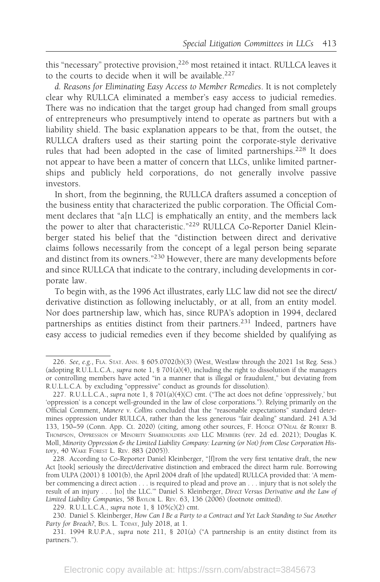this "necessary" protective provision,<sup>226</sup> most retained it intact. RULLCA leaves it to the courts to decide when it will be available.<sup>227</sup>

d. Reasons for Eliminating Easy Access to Member Remedies. It is not completely clear why RULLCA eliminated a member's easy access to judicial remedies. There was no indication that the target group had changed from small groups of entrepreneurs who presumptively intend to operate as partners but with a liability shield. The basic explanation appears to be that, from the outset, the RULLCA drafters used as their starting point the corporate-style derivative rules that had been adopted in the case of limited partnerships.<sup>228</sup> It does not appear to have been a matter of concern that LLCs, unlike limited partnerships and publicly held corporations, do not generally involve passive investors.

In short, from the beginning, the RULLCA drafters assumed a conception of the business entity that characterized the public corporation. The Official Comment declares that "a[n LLC] is emphatically an entity, and the members lack the power to alter that characteristic."<sup>229</sup> RULLCA Co-Reporter Daniel Kleinberger stated his belief that the "distinction between direct and derivative claims follows necessarily from the concept of a legal person being separate and distinct from its owners."<sup>230</sup> However, there are many developments before and since RULLCA that indicate to the contrary, including developments in corporate law.

To begin with, as the 1996 Act illustrates, early LLC law did not see the direct/ derivative distinction as following ineluctably, or at all, from an entity model. Nor does partnership law, which has, since RUPA's adoption in 1994, declared partnerships as entities distinct from their partners.<sup>231</sup> Indeed, partners have easy access to judicial remedies even if they become shielded by qualifying as

<sup>226.</sup> See, e.g., FLA. STAT. ANN. § 605.0702(b)(3) (West, Westlaw through the 2021 1st Reg. Sess.) (adopting R.U.L.L.C.A., supra note 1, § 701(a)(4), including the right to dissolution if the managers or controlling members have acted "in a manner that is illegal or fraudulent," but deviating from R.U.L.L.C.A. by excluding "oppressive" conduct as grounds for dissolution).

<sup>227.</sup> R.U.L.L.C.A., supra note 1, § 701(a)(4)(C) cmt. ("The act does not define 'oppressively,' but 'oppression' is a concept well-grounded in the law of close corporations."). Relying primarily on the Official Comment, Manere v. Collins concluded that the "reasonable expectations" standard determines oppression under RULLCA, rather than the less generous "fair dealing" standard. 241 A.3d 133, 150–59 (Conn. App. Ct. 2020) (citing, among other sources, F. HODGE O'NEAL & ROBERT B. THOMPSON, OPPRESSION OF MINORITY SHAREHOLDERS AND LLC MEMBERS (rev. 2d ed. 2021); Douglas K. Moll, Minority Oppression & the Limited Liability Company: Learning (or Not) from Close Corporation History, 40 WAKE FOREST L. REV. 883 (2005)).

<sup>228.</sup> According to Co-Reporter Daniel Kleinberger, "[f]rom the very first tentative draft, the new Act [took] seriously the direct/derivative distinction and embraced the direct harm rule. Borrowing from ULPA (2001) § 1001(b), the April 2004 draft of [the updated] RULLCA provided that: 'A member commencing a direct action . . . is required to plead and prove an . . . injury that is not solely the result of an injury . . . [to] the LLC.'" Daniel S. Kleinberger, Direct Versus Derivative and the Law of Limited Liability Companies, 58 BAYLOR L. REV. 63, 136 (2006) (footnote omitted).

<sup>229.</sup> R.U.L.L.C.A., supra note 1, § 105(c)(2) cmt.

<sup>230.</sup> Daniel S. Kleinberger, How Can I Be a Party to a Contract and Yet Lack Standing to Sue Another Party for Breach?, Bus. L. TODAY, July 2018, at 1.

<sup>231. 1994</sup> R.U.P.A., supra note 211, § 201(a) ("A partnership is an entity distinct from its partners.").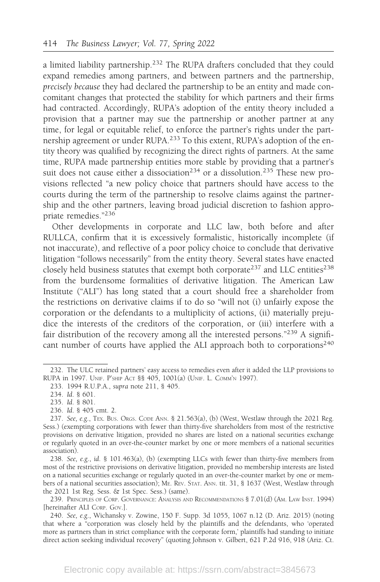a limited liability partnership.<sup>232</sup> The RUPA drafters concluded that they could expand remedies among partners, and between partners and the partnership, precisely because they had declared the partnership to be an entity and made concomitant changes that protected the stability for which partners and their firms had contracted. Accordingly, RUPA's adoption of the entity theory included a provision that a partner may sue the partnership or another partner at any time, for legal or equitable relief, to enforce the partner's rights under the partnership agreement or under RUPA.<sup>233</sup> To this extent, RUPA's adoption of the entity theory was qualified by recognizing the direct rights of partners. At the same time, RUPA made partnership entities more stable by providing that a partner's suit does not cause either a dissociation<sup>234</sup> or a dissolution.<sup>235</sup> These new provisions reflected "a new policy choice that partners should have access to the courts during the term of the partnership to resolve claims against the partnership and the other partners, leaving broad judicial discretion to fashion appropriate remedies."<sup>236</sup>

Other developments in corporate and LLC law, both before and after RULLCA, confirm that it is excessively formalistic, historically incomplete (if not inaccurate), and reflective of a poor policy choice to conclude that derivative litigation "follows necessarily" from the entity theory. Several states have enacted closely held business statutes that exempt both corporate<sup>237</sup> and LLC entities<sup>238</sup> from the burdensome formalities of derivative litigation. The American Law Institute ("ALI") has long stated that a court should free a shareholder from the restrictions on derivative claims if to do so "will not (i) unfairly expose the corporation or the defendants to a multiplicity of actions, (ii) materially prejudice the interests of the creditors of the corporation, or (iii) interfere with a fair distribution of the recovery among all the interested persons."<sup>239</sup> A significant number of courts have applied the ALI approach both to corporations<sup>240</sup>

240. See, e.g., Wichansky v. Zowine, 150 F. Supp. 3d 1055, 1067 n.12 (D. Ariz. 2015) (noting that where a "corporation was closely held by the plaintiffs and the defendants, who 'operated more as partners than in strict compliance with the corporate form,' plaintiffs had standing to initiate direct action seeking individual recovery" (quoting Johnson v. Gilbert, 621 P.2d 916, 918 (Ariz. Ct.

<sup>232.</sup> The ULC retained partners' easy access to remedies even after it added the LLP provisions to RUPA in 1997. UNIF. P'SHIP ACT §§ 405, 1001(a) (UNIF. L. COMM'N 1997).

<sup>233. 1994</sup> R.U.P.A., supra note 211, § 405.

<sup>234.</sup> Id. § 601.

<sup>235.</sup> Id. § 801.

<sup>236.</sup> Id. § 405 cmt. 2.

<sup>237.</sup> See, e.g., TEX. BUS. ORGS. CODE ANN. § 21.563(a), (b) (West, Westlaw through the 2021 Reg. Sess.) (exempting corporations with fewer than thirty-five shareholders from most of the restrictive provisions on derivative litigation, provided no shares are listed on a national securities exchange or regularly quoted in an over-the-counter market by one or more members of a national securities association).

<sup>238.</sup> See, e.g., id. § 101.463(a), (b) (exempting LLCs with fewer than thirty-five members from most of the restrictive provisions on derivative litigation, provided no membership interests are listed on a national securities exchange or regularly quoted in an over-the-counter market by one or members of a national securities association); ME. REV. STAT. ANN. tit. 31, § 1637 (West, Westlaw through the 2021 1st Reg. Sess. & 1st Spec. Sess.) (same).

<sup>239.</sup> PRINCIPLES OF CORP. GOVERNANCE: ANALYSIS AND RECOMMENDATIONS § 7.01(d) (AM. LAW INST. 1994) [hereinafter ALI CORP. GOV.].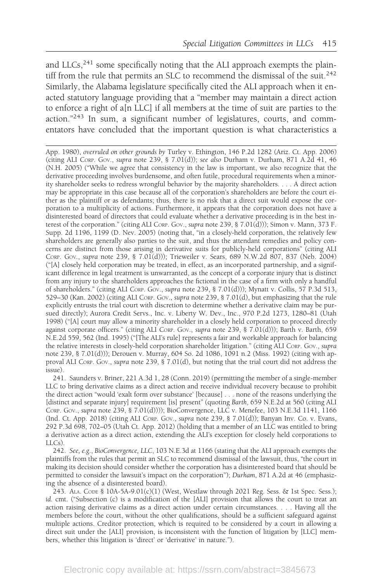and LLCs, $^{241}$  some specifically noting that the ALI approach exempts the plaintiff from the rule that permits an SLC to recommend the dismissal of the suit.<sup>242</sup> Similarly, the Alabama legislature specifically cited the ALI approach when it enacted statutory language providing that a "member may maintain a direct action to enforce a right of a[n LLC] if all members at the time of suit are parties to the action." $243$  In sum, a significant number of legislatures, courts, and commentators have concluded that the important question is what characteristics a

App. 1980), overruled on other grounds by Turley v. Ethington, 146 P.2d 1282 (Ariz. Ct. App. 2006) (citing ALI CORP. GOV., supra note 239, § 7.01(d)); see also Durham v. Durham, 871 A.2d 41, 46 (N.H. 2005) ("While we agree that consistency in the law is important, we also recognize that the derivative proceeding involves burdensome, and often futile, procedural requirements when a minority shareholder seeks to redress wrongful behavior by the majority shareholders. . . . A direct action may be appropriate in this case because all of the corporation's shareholders are before the court either as the plaintiff or as defendants; thus, there is no risk that a direct suit would expose the corporation to a multiplicity of actions. Furthermore, it appears that the corporation does not have a disinterested board of directors that could evaluate whether a derivative proceeding is in the best interest of the corporation." (citing ALI CORP. GOV., supra note 239, § 7.01(d))); Simon v. Mann, 373 F. Supp. 2d 1196, 1199 (D. Nev. 2005) (noting that, "in a closely-held corporation, the relatively few shareholders are generally also parties to the suit, and thus the attendant remedies and policy concerns are distinct from those arising in derivative suits for publicly-held corporations" (citing ALI CORP. GOV., supra note 239, § 7.01(d))); Trieweiler v. Sears, 689 N.W.2d 807, 837 (Neb. 2004) ("[A] closely held corporation may be treated, in effect, as an incorporated partnership, and a significant difference in legal treatment is unwarranted, as the concept of a corporate injury that is distinct from any injury to the shareholders approaches the fictional in the case of a firm with only a handful of shareholders." (citing ALI CORP. GOV., supra note 239, § 7.01(d))); Mynatt v. Collis, 57 P.3d 513, 529–30 (Kan. 2002) (citing ALI CORP. GOV., supra note 239, § 7.01(d), but emphasizing that the rule explicitly entrusts the trial court with discretion to determine whether a derivative claim may be pursued directly); Aurora Credit Servs., Inc. v. Liberty W. Dev., Inc., 970 P.2d 1273, 1280–81 (Utah 1998) ("[A] court may allow a minority shareholder in a closely held corporation to proceed directly against corporate officers." (citing ALI Corp. Gov., supra note 239, § 7.01(d))); Barth v. Barth, 659 N.E.2d 559, 562 (Ind. 1995) ("[The ALI's rule] represents a fair and workable approach for balancing the relative interests in closely-held corporation shareholder litigation." (citing ALI CORP. GOV., supra note 239, § 7.01(d))); Derouen v. Murray, 604 So. 2d 1086, 1091 n.2 (Miss. 1992) (citing with approval ALI CORP. GOV., supra note 239, § 7.01(d), but noting that the trial court did not address the issue).

241. Saunders v. Briner, 221 A.3d 1, 28 (Conn. 2019) (permitting the member of a single-member LLC to bring derivative claims as a direct action and receive individual recovery because to prohibit the direct action "would 'exalt form over substance' [because] . . . none of the reasons underlying the [distinct and separate injury] requirement [is] present" (quoting Barth, 659 N.E.2d at 560 (citing ALI CORP. GOV., supra note 239, § 7.01(d)))); BioConvergence, LLC v. Menefee, 103 N.E.3d 1141, 1166 (Ind. Ct. App. 2018) (citing ALI CORP. GOV., supra note 239, § 7.01(d)); Banyan Inv. Co. v. Evans, 292 P.3d 698, 702–05 (Utah Ct. App. 2012) (holding that a member of an LLC was entitled to bring a derivative action as a direct action, extending the ALI's exception for closely held corporations to LLCs).

242. See, e.g., BioConvergence, LLC, 103 N.E.3d at 1166 (stating that the ALI approach exempts the plaintiffs from the rules that permit an SLC to recommend dismissal of the lawsuit, thus, "the court in making its decision should consider whether the corporation has a disinterested board that should be permitted to consider the lawsuit's impact on the corporation"); Durham, 871 A.2d at 46 (emphasizing the absence of a disinterested board).

243. ALA. CODE § 10A-5A-9.01(c)(1) (West, Westlaw through 2021 Reg. Sess. & 1st Spec. Sess.); id. cmt. ("Subsection (c) is a modification of the [ALI] provision that allows the court to treat an action raising derivative claims as a direct action under certain circumstances.... Having all the members before the court, without the other qualifications, should be a sufficient safeguard against multiple actions. Creditor protection, which is required to be considered by a court in allowing a direct suit under the [ALI] provision, is inconsistent with the function of litigation by [LLC] members, whether this litigation is 'direct' or 'derivative' in nature.").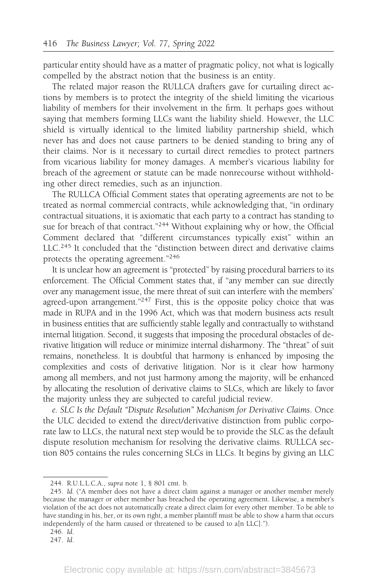particular entity should have as a matter of pragmatic policy, not what is logically compelled by the abstract notion that the business is an entity.

The related major reason the RULLCA drafters gave for curtailing direct actions by members is to protect the integrity of the shield limiting the vicarious liability of members for their involvement in the firm. It perhaps goes without saying that members forming LLCs want the liability shield. However, the LLC shield is virtually identical to the limited liability partnership shield, which never has and does not cause partners to be denied standing to bring any of their claims. Nor is it necessary to curtail direct remedies to protect partners from vicarious liability for money damages. A member's vicarious liability for breach of the agreement or statute can be made nonrecourse without withholding other direct remedies, such as an injunction.

The RULLCA Official Comment states that operating agreements are not to be treated as normal commercial contracts, while acknowledging that, "in ordinary contractual situations, it is axiomatic that each party to a contract has standing to sue for breach of that contract."<sup>244</sup> Without explaining why or how, the Official Comment declared that "different circumstances typically exist" within an LLC.<sup>245</sup> It concluded that the "distinction between direct and derivative claims protects the operating agreement."<sup>246</sup>

It is unclear how an agreement is "protected" by raising procedural barriers to its enforcement. The Official Comment states that, if "any member can sue directly over any management issue, the mere threat of suit can interfere with the members' agreed-upon arrangement."<sup>247</sup> First, this is the opposite policy choice that was made in RUPA and in the 1996 Act, which was that modern business acts result in business entities that are sufficiently stable legally and contractually to withstand internal litigation. Second, it suggests that imposing the procedural obstacles of derivative litigation will reduce or minimize internal disharmony. The "threat" of suit remains, nonetheless. It is doubtful that harmony is enhanced by imposing the complexities and costs of derivative litigation. Nor is it clear how harmony among all members, and not just harmony among the majority, will be enhanced by allocating the resolution of derivative claims to SLCs, which are likely to favor the majority unless they are subjected to careful judicial review.

e. SLC Is the Default "Dispute Resolution" Mechanism for Derivative Claims. Once the ULC decided to extend the direct/derivative distinction from public corporate law to LLCs, the natural next step would be to provide the SLC as the default dispute resolution mechanism for resolving the derivative claims. RULLCA section 805 contains the rules concerning SLCs in LLCs. It begins by giving an LLC

- 246. Id.
- 247. Id.

<sup>244.</sup> R.U.L.L.C.A., supra note 1, § 801 cmt. b.

<sup>245.</sup> Id. ("A member does not have a direct claim against a manager or another member merely because the manager or other member has breached the operating agreement. Likewise, a member's violation of the act does not automatically create a direct claim for every other member. To be able to have standing in his, her, or its own right, a member plaintiff must be able to show a harm that occurs independently of the harm caused or threatened to be caused to a[n LLC].").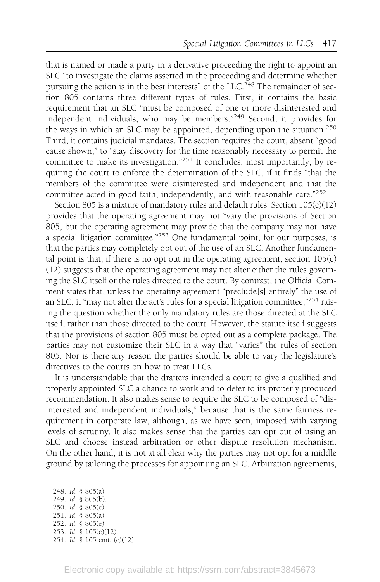that is named or made a party in a derivative proceeding the right to appoint an SLC "to investigate the claims asserted in the proceeding and determine whether pursuing the action is in the best interests" of the LLC.<sup>248</sup> The remainder of section 805 contains three different types of rules. First, it contains the basic requirement that an SLC "must be composed of one or more disinterested and independent individuals, who may be members."<sup>249</sup> Second, it provides for the ways in which an SLC may be appointed, depending upon the situation.<sup>250</sup> Third, it contains judicial mandates. The section requires the court, absent "good cause shown," to "stay discovery for the time reasonably necessary to permit the committee to make its investigation."<sup>251</sup> It concludes, most importantly, by requiring the court to enforce the determination of the SLC, if it finds "that the members of the committee were disinterested and independent and that the committee acted in good faith, independently, and with reasonable care."<sup>252</sup>

Section 805 is a mixture of mandatory rules and default rules. Section 105(c)(12) provides that the operating agreement may not "vary the provisions of Section 805, but the operating agreement may provide that the company may not have a special litigation committee."253 One fundamental point, for our purposes, is that the parties may completely opt out of the use of an SLC. Another fundamental point is that, if there is no opt out in the operating agreement, section  $105(c)$ (12) suggests that the operating agreement may not alter either the rules governing the SLC itself or the rules directed to the court. By contrast, the Official Comment states that, unless the operating agreement "preclude[s] entirely" the use of an SLC, it "may not alter the act's rules for a special litigation committee,"254 raising the question whether the only mandatory rules are those directed at the SLC itself, rather than those directed to the court. However, the statute itself suggests that the provisions of section 805 must be opted out as a complete package. The parties may not customize their SLC in a way that "varies" the rules of section 805. Nor is there any reason the parties should be able to vary the legislature's directives to the courts on how to treat LLCs.

It is understandable that the drafters intended a court to give a qualified and properly appointed SLC a chance to work and to defer to its properly produced recommendation. It also makes sense to require the SLC to be composed of "disinterested and independent individuals," because that is the same fairness requirement in corporate law, although, as we have seen, imposed with varying levels of scrutiny. It also makes sense that the parties can opt out of using an SLC and choose instead arbitration or other dispute resolution mechanism. On the other hand, it is not at all clear why the parties may not opt for a middle ground by tailoring the processes for appointing an SLC. Arbitration agreements,

<sup>248.</sup> Id. § 805(a).

<sup>249.</sup> Id. § 805(b).

<sup>250.</sup> Id. § 805(c).

<sup>251.</sup> Id. § 805(a).

<sup>252.</sup> Id. § 805(e). 253. Id. § 105(c)(12).

<sup>254.</sup> Id. § 105 cmt. (c)(12).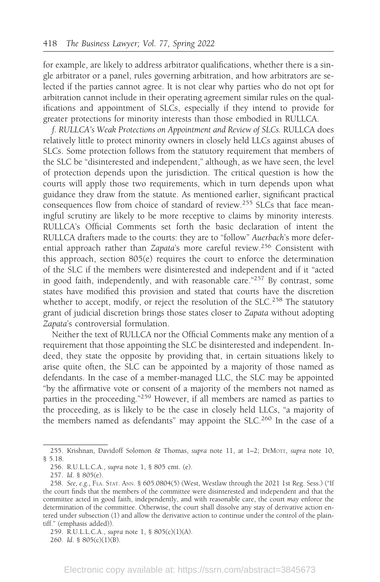for example, are likely to address arbitrator qualifications, whether there is a single arbitrator or a panel, rules governing arbitration, and how arbitrators are selected if the parties cannot agree. It is not clear why parties who do not opt for arbitration cannot include in their operating agreement similar rules on the qualifications and appointment of SLCs, especially if they intend to provide for greater protections for minority interests than those embodied in RULLCA.

f. RULLCA's Weak Protections on Appointment and Review of SLCs. RULLCA does relatively little to protect minority owners in closely held LLCs against abuses of SLCs. Some protection follows from the statutory requirement that members of the SLC be "disinterested and independent," although, as we have seen, the level of protection depends upon the jurisdiction. The critical question is how the courts will apply those two requirements, which in turn depends upon what guidance they draw from the statute. As mentioned earlier, significant practical consequences flow from choice of standard of review.<sup>255</sup> SLCs that face meaningful scrutiny are likely to be more receptive to claims by minority interests. RULLCA's Official Comments set forth the basic declaration of intent the RULLCA drafters made to the courts: they are to "follow" Auerbach's more deferential approach rather than Zapata's more careful review.<sup>256</sup> Consistent with this approach, section 805(e) requires the court to enforce the determination of the SLC if the members were disinterested and independent and if it "acted in good faith, independently, and with reasonable care."<sup>257</sup> By contrast, some states have modified this provision and stated that courts have the discretion whether to accept, modify, or reject the resolution of the SLC.<sup>258</sup> The statutory grant of judicial discretion brings those states closer to Zapata without adopting Zapata's controversial formulation.

Neither the text of RULLCA nor the Official Comments make any mention of a requirement that those appointing the SLC be disinterested and independent. Indeed, they state the opposite by providing that, in certain situations likely to arise quite often, the SLC can be appointed by a majority of those named as defendants. In the case of a member-managed LLC, the SLC may be appointed "by the affirmative vote or consent of a majority of the members not named as parties in the proceeding."<sup>259</sup> However, if all members are named as parties to the proceeding, as is likely to be the case in closely held LLCs, "a majority of the members named as defendants" may appoint the SLC.<sup>260</sup> In the case of a

<sup>255.</sup> Krishnan, Davidoff Solomon & Thomas, supra note 11, at 1–2; DEMOTT, supra note 10, § 5.18.

<sup>256.</sup> R.U.L.L.C.A., supra note 1, § 805 cmt. (e).

<sup>257.</sup> Id. § 805(e).

<sup>258.</sup> See, e.g., FLA. STAT. ANN. § 605.0804(5) (West, Westlaw through the 2021 1st Reg. Sess.) ("If the court finds that the members of the committee were disinterested and independent and that the committee acted in good faith, independently, and with reasonable care, the court may enforce the determination of the committee. Otherwise, the court shall dissolve any stay of derivative action entered under subsection (1) and allow the derivative action to continue under the control of the plaintiff." (emphasis added)).

<sup>259.</sup> R.U.L.L.C.A., supra note 1, § 805(c)(1)(A).

<sup>260.</sup> Id. § 805(c)(1)(B).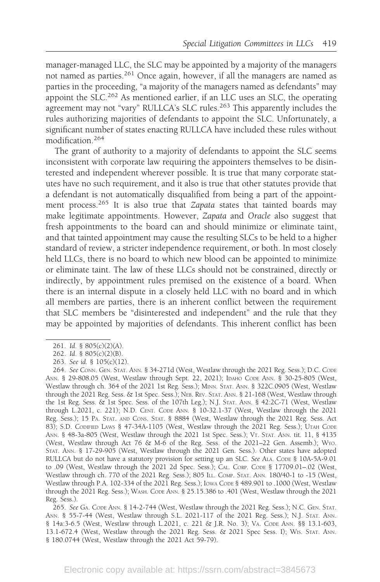manager-managed LLC, the SLC may be appointed by a majority of the managers not named as parties.<sup>261</sup> Once again, however, if all the managers are named as parties in the proceeding, "a majority of the managers named as defendants" may appoint the SLC.<sup>262</sup> As mentioned earlier, if an LLC uses an SLC, the operating agreement may not "vary" RULLCA's SLC rules.<sup>263</sup> This apparently includes the rules authorizing majorities of defendants to appoint the SLC. Unfortunately, a significant number of states enacting RULLCA have included these rules without modification.<sup>264</sup>

The grant of authority to a majority of defendants to appoint the SLC seems inconsistent with corporate law requiring the appointers themselves to be disinterested and independent wherever possible. It is true that many corporate statutes have no such requirement, and it also is true that other statutes provide that a defendant is not automatically disqualified from being a part of the appointment process.<sup>265</sup> It is also true that Zapata states that tainted boards may make legitimate appointments. However, Zapata and Oracle also suggest that fresh appointments to the board can and should minimize or eliminate taint, and that tainted appointment may cause the resulting SLCs to be held to a higher standard of review, a stricter independence requirement, or both. In most closely held LLCs, there is no board to which new blood can be appointed to minimize or eliminate taint. The law of these LLCs should not be constrained, directly or indirectly, by appointment rules premised on the existence of a board. When there is an internal dispute in a closely held LLC with no board and in which all members are parties, there is an inherent conflict between the requirement that SLC members be "disinterested and independent" and the rule that they may be appointed by majorities of defendants. This inherent conflict has been

<sup>261.</sup> Id. § 805(c)(2)(A).

<sup>262.</sup> Id. § 805(c)(2)(B).

<sup>263.</sup> See id. § 105(c)(12).

<sup>264.</sup> See CONN. GEN. STAT. ANN. § 34-271d (West, Westlaw through the 2021 Reg. Sess.); D.C. CODE ANN. § 29-808.05 (West, Westlaw through Sept. 22, 2021); IDAHO CODE ANN. § 30-25-805 (West, Westlaw through ch. 364 of the 2021 1st Reg. Sess.); MINN. STAT. ANN. § 322C.0905 (West, Westlaw through the 2021 Reg. Sess. & 1st Spec. Sess.); NEB. REV. STAT. ANN. § 21-168 (West, Westlaw through the 1st Reg. Sess. & 1st Spec. Sess. of the 107th Leg.); N.J. STAT. ANN. § 42:2C-71 (West, Westlaw through L.2021, c. 221); N.D. CENT. CODE ANN. § 10-32.1-37 (West, Westlaw through the 2021 Reg. Sess.); 15 PA. STAT. AND CONS. STAT. § 8884 (West, Westlaw through the 2021 Reg. Sess. Act 83); S.D. CODIFIED LAWS § 47-34A-1105 (West, Westlaw through the 2021 Reg. Sess.); UTAH CODE ANN. § 48-3a-805 (West, Westlaw through the 2021 1st Spec. Sess.); VT. STAT. ANN. tit. 11, § 4135 (West, Westlaw through Act 76 & M-6 of the Reg. Sess. of the 2021–22 Gen. Assemb.); WYO. STAT. ANN. § 17-29-905 (West, Westlaw through the 2021 Gen. Sess.). Other states have adopted RULLCA but do not have a statutory provision for setting up an SLC. See ALA. CODE § 10A-5A-9.01 to .09 (West, Westlaw through the 2021 2d Spec. Sess.); CAL. CORP. CODE § 17709.01–.02 (West, Westlaw through ch. 770 of the 2021 Reg. Sess.); 805 ILL. COMP. STAT. ANN. 180/40-1 to -15 (West, Westlaw through P.A. 102-334 of the 2021 Reg. Sess.); IOWA CODE § 489.901 to .1000 (West, Westlaw through the 2021 Reg. Sess.); WASH. CODE ANN. § 25.15.386 to .401 (West, Westlaw through the 2021 Reg. Sess.).

<sup>265.</sup> See GA. CODE ANN. § 14-2-744 (West, Westlaw through the 2021 Reg. Sess.); N.C. GEN. STAT. ANN. § 55-7-44 (West, Westlaw through S.L. 2021-117 of the 2021 Reg. Sess.); N.J. STAT. ANN. § 14a:3-6.5 (West, Westlaw through L.2021, c. 221 & J.R. No. 3); VA. CODE ANN. §§ 13.1-603, 13.1-672.4 (West, Westlaw through the 2021 Reg. Sess. & 2021 Spec Sess. I); WIS. STAT. ANN. § 180.0744 (West, Westlaw through the 2021 Act 59-79).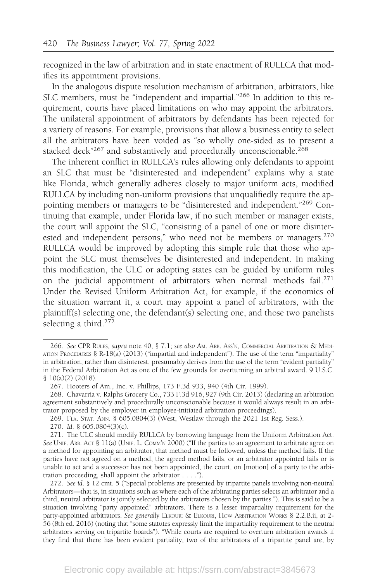recognized in the law of arbitration and in state enactment of RULLCA that modifies its appointment provisions.

In the analogous dispute resolution mechanism of arbitration, arbitrators, like SLC members, must be "independent and impartial."<sup>266</sup> In addition to this requirement, courts have placed limitations on who may appoint the arbitrators. The unilateral appointment of arbitrators by defendants has been rejected for a variety of reasons. For example, provisions that allow a business entity to select all the arbitrators have been voided as "so wholly one-sided as to present a stacked deck"<sup>267</sup> and substantively and procedurally unconscionable.<sup>268</sup>

The inherent conflict in RULLCA's rules allowing only defendants to appoint an SLC that must be "disinterested and independent" explains why a state like Florida, which generally adheres closely to major uniform acts, modified RULLCA by including non-uniform provisions that unqualifiedly require the appointing members or managers to be "disinterested and independent."<sup>269</sup> Continuing that example, under Florida law, if no such member or manager exists, the court will appoint the SLC, "consisting of a panel of one or more disinterested and independent persons," who need not be members or managers.<sup>270</sup> RULLCA would be improved by adopting this simple rule that those who appoint the SLC must themselves be disinterested and independent. In making this modification, the ULC or adopting states can be guided by uniform rules on the judicial appointment of arbitrators when normal methods fail.<sup>271</sup> Under the Revised Uniform Arbitration Act, for example, if the economics of the situation warrant it, a court may appoint a panel of arbitrators, with the plaintiff(s) selecting one, the defendant(s) selecting one, and those two panelists selecting a third.<sup>272</sup>

272. See id. § 12 cmt. 5 ("Special problems are presented by tripartite panels involving non-neutral Arbitrators—that is, in situations such as where each of the arbitrating parties selects an arbitrator and a third, neutral arbitrator is jointly selected by the arbitrators chosen by the parties."). This is said to be a situation involving "party appointed" arbitrators. There is a lesser impartiality requirement for the party-appointed arbitrators. See generally ELKOURI & ELKOURI, HOW ARBITRATION WORKS § 2.2.B.ii, at 2-56 (8th ed. 2016) (noting that "some statutes expressly limit the impartiality requirement to the neutral arbitrators serving on tripartite boards"). "While courts are required to overturn arbitration awards if they find that there has been evident partiality, two of the arbitrators of a tripartite panel are, by

<sup>266.</sup> See CPR RULES, supra note 40, § 7.1; see also AM. ARB. ASS'N, COMMERCIAL ARBITRATION & MEDI-ATION PROCEDURES § R-18(a) (2013) ("impartial and independent"). The use of the term "impartiality" in arbitration, rather than disinterest, presumably derives from the use of the term "evident partiality" in the Federal Arbitration Act as one of the few grounds for overturning an arbitral award. 9 U.S.C. § 10(a)(2) (2018).

<sup>267.</sup> Hooters of Am., Inc. v. Phillips, 173 F.3d 933, 940 (4th Cir. 1999).

<sup>268.</sup> Chavarria v. Ralphs Grocery Co., 733 F.3d 916, 927 (9th Cir. 2013) (declaring an arbitration agreement substantively and procedurally unconscionable because it would always result in an arbitrator proposed by the employer in employee-initiated arbitration proceedings).

<sup>269.</sup> FLA. STAT. ANN. § 605.0804(3) (West, Westlaw through the 2021 1st Reg. Sess.).

<sup>270.</sup> Id. § 605.0804(3)(c).

<sup>271.</sup> The ULC should modify RULLCA by borrowing language from the Uniform Arbitration Act. See UNIF. ARB. ACT § 11(a) (UNIF. L. COMM'N 2000) ("If the parties to an agreement to arbitrate agree on a method for appointing an arbitrator, that method must be followed, unless the method fails. If the parties have not agreed on a method, the agreed method fails, or an arbitrator appointed fails or is unable to act and a successor has not been appointed, the court, on [motion] of a party to the arbitration proceeding, shall appoint the arbitrator . . . .").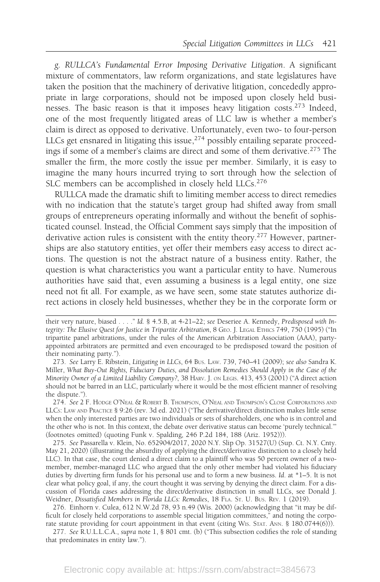g. RULLCA's Fundamental Error Imposing Derivative Litigation. A significant mixture of commentators, law reform organizations, and state legislatures have taken the position that the machinery of derivative litigation, concededly appropriate in large corporations, should not be imposed upon closely held businesses. The basic reason is that it imposes heavy litigation costs. $273$  Indeed, one of the most frequently litigated areas of LLC law is whether a member's claim is direct as opposed to derivative. Unfortunately, even two- to four-person LLCs get ensnared in litigating this issue,<sup>274</sup> possibly entailing separate proceedings if some of a member's claims are direct and some of them derivative.<sup>275</sup> The smaller the firm, the more costly the issue per member. Similarly, it is easy to imagine the many hours incurred trying to sort through how the selection of SLC members can be accomplished in closely held LLCs.<sup>276</sup>

RULLCA made the dramatic shift to limiting member access to direct remedies with no indication that the statute's target group had shifted away from small groups of entrepreneurs operating informally and without the benefit of sophisticated counsel. Instead, the Official Comment says simply that the imposition of derivative action rules is consistent with the entity theory.<sup>277</sup> However, partnerships are also statutory entities, yet offer their members easy access to direct actions. The question is not the abstract nature of a business entity. Rather, the question is what characteristics you want a particular entity to have. Numerous authorities have said that, even assuming a business is a legal entity, one size need not fit all. For example, as we have seen, some state statutes authorize direct actions in closely held businesses, whether they be in the corporate form or

274. See 2 F. HODGE O'NEAL & ROBERT B. THOMPSON, O'NEAL AND THOMPSON'S CLOSE CORPORATIONS AND LLCS: LAW AND PRACTICE § 9:26 (rev. 3d ed. 2021) ("The derivative/direct distinction makes little sense when the only interested parties are two individuals or sets of shareholders, one who is in control and the other who is not. In this context, the debate over derivative status can become 'purely technical.'" (footnotes omitted) (quoting Funk v. Spalding, 246 P.2d 184, 188 (Ariz. 1952))).

275. See Passarella v. Klein, No. 652904/2017, 2020 N.Y. Slip Op. 31527(U) (Sup. Ct. N.Y. Cnty. May 21, 2020) (illustrating the absurdity of applying the direct/derivative distinction to a closely held LLC). In that case, the court denied a direct claim to a plaintiff who was 50 percent owner of a twomember, member-managed LLC who argued that the only other member had violated his fiduciary duties by diverting firm funds for his personal use and to form a new business. Id. at \*1–5. It is not clear what policy goal, if any, the court thought it was serving by denying the direct claim. For a discussion of Florida cases addressing the direct/derivative distinction in small LLCs, see Donald J. Weidner, Dissatisfied Members in Florida LLCs: Remedies, 18 FLA. ST. U. BUS. REV. 1 (2019).

276. Einhorn v. Culea, 612 N.W.2d 78, 93 n.49 (Wis. 2000) (acknowledging that "it may be difficult for closely held corporations to assemble special litigation committees," and noting the corporate statute providing for court appointment in that event (citing WIS. STAT. ANN. § 180.0744(6))).

277. See R.U.L.L.C.A., supra note 1, § 801 cmt. (b) ("This subsection codifies the role of standing that predominates in entity law.").

their very nature, biased . . . . " Id. § 4.5.B, at 4-21-22; see Deseriee A. Kennedy, Predisposed with Integrity: The Elusive Quest for Justice in Tripartite Arbitration,8GEO. J. LEGAL ETHICS 749, 750 (1995) ("In tripartite panel arbitrations, under the rules of the American Arbitration Association (AAA), partyappointed arbitrators are permitted and even encouraged to be predisposed toward the position of their nominating party.").

<sup>273.</sup> See Larry E. Ribstein, Litigating in LLCs, 64 BUS. LAW. 739, 740–41 (2009); see also Sandra K. Miller, What Buy-Out Rights, Fiduciary Duties, and Dissolution Remedies Should Apply in the Case of the Minority Owner of a Limited Liability Company?, 38 HARV. J. ON LEGIS. 413, 453 (2001) ("A direct action should not be barred in an LLC, particularly where it would be the most efficient manner of resolving the dispute.").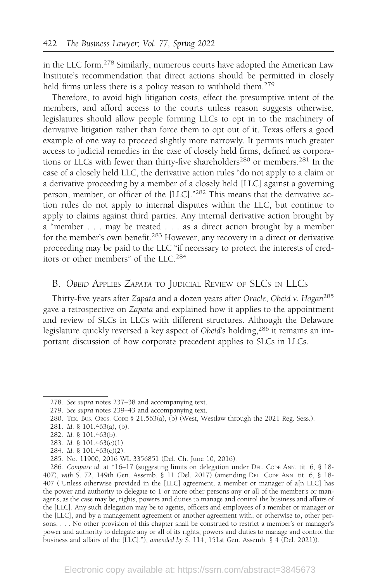in the LLC form.<sup>278</sup> Similarly, numerous courts have adopted the American Law Institute's recommendation that direct actions should be permitted in closely held firms unless there is a policy reason to withhold them.<sup>279</sup>

Therefore, to avoid high litigation costs, effect the presumptive intent of the members, and afford access to the courts unless reason suggests otherwise, legislatures should allow people forming LLCs to opt in to the machinery of derivative litigation rather than force them to opt out of it. Texas offers a good example of one way to proceed slightly more narrowly. It permits much greater access to judicial remedies in the case of closely held firms, defined as corporations or LLCs with fewer than thirty-five shareholders<sup>280</sup> or members.<sup>281</sup> In the case of a closely held LLC, the derivative action rules "do not apply to a claim or a derivative proceeding by a member of a closely held [LLC] against a governing person, member, or officer of the [LLC]."<sup>282</sup> This means that the derivative action rules do not apply to internal disputes within the LLC, but continue to apply to claims against third parties. Any internal derivative action brought by a "member . . . may be treated . . . as a direct action brought by a member for the member's own benefit.<sup>283</sup> However, any recovery in a direct or derivative proceeding may be paid to the LLC "if necessary to protect the interests of creditors or other members" of the LLC.<sup>284</sup>

### B. OBEID APPLIES ZAPATA TO JUDICIAL REVIEW OF SLCS IN LLCS

Thirty-five years after Zapata and a dozen years after Oracle, Obeid v. Hogan<sup>285</sup> gave a retrospective on Zapata and explained how it applies to the appointment and review of SLCs in LLCs with different structures. Although the Delaware legislature quickly reversed a key aspect of Obeid's holding,<sup>286</sup> it remains an important discussion of how corporate precedent applies to SLCs in LLCs.

283. Id. § 101.463(c)(1).

<sup>278.</sup> See supra notes 237–38 and accompanying text.

<sup>279.</sup> See supra notes 239–43 and accompanying text.

<sup>280.</sup> TEX. BUS. ORGS. CODE § 21.563(a), (b) (West, Westlaw through the 2021 Reg. Sess.).

<sup>281.</sup> Id. § 101.463(a), (b).

<sup>282.</sup> Id. § 101.463(b).

<sup>284.</sup> Id. § 101.463(c)(2).

<sup>285.</sup> No. 11900, 2016 WL 3356851 (Del. Ch. June 10, 2016).

<sup>286.</sup> Compare id. at \*16–17 (suggesting limits on delegation under DEL. CODE ANN. tit. 6, § 18- 407), with S. 72, 149th Gen. Assemb. § 11 (Del. 2017) (amending DEL. CODE ANN. tit. 6, § 18- 407 ("Unless otherwise provided in the [LLC] agreement, a member or manager of a[n LLC] has the power and authority to delegate to 1 or more other persons any or all of the member's or manager's, as the case may be, rights, powers and duties to manage and control the business and affairs of the [LLC]. Any such delegation may be to agents, officers and employees of a member or manager or the [LLC], and by a management agreement or another agreement with, or otherwise to, other persons. . . . No other provision of this chapter shall be construed to restrict a member's or manager's power and authority to delegate any or all of its rights, powers and duties to manage and control the business and affairs of the [LLC]."), amended by S. 114, 151st Gen. Assemb. § 4 (Del. 2021)).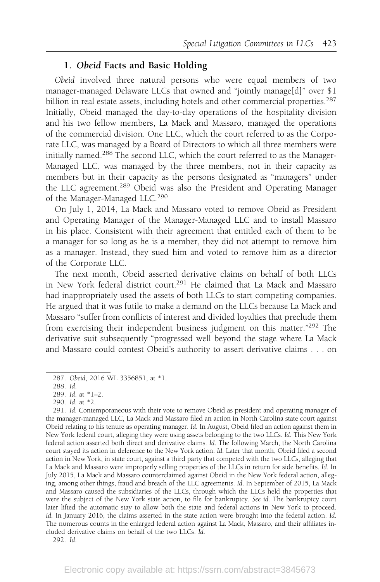#### 1. Obeid Facts and Basic Holding

Obeid involved three natural persons who were equal members of two manager-managed Delaware LLCs that owned and "jointly manage[d]" over \$1 billion in real estate assets, including hotels and other commercial properties.<sup>287</sup> Initially, Obeid managed the day-to-day operations of the hospitality division and his two fellow members, La Mack and Massaro, managed the operations of the commercial division. One LLC, which the court referred to as the Corporate LLC, was managed by a Board of Directors to which all three members were initially named.288 The second LLC, which the court referred to as the Manager-Managed LLC, was managed by the three members, not in their capacity as members but in their capacity as the persons designated as "managers" under the LLC agreement.<sup>289</sup> Obeid was also the President and Operating Manager of the Manager-Managed LLC.<sup>290</sup>

On July 1, 2014, La Mack and Massaro voted to remove Obeid as President and Operating Manager of the Manager-Managed LLC and to install Massaro in his place. Consistent with their agreement that entitled each of them to be a manager for so long as he is a member, they did not attempt to remove him as a manager. Instead, they sued him and voted to remove him as a director of the Corporate LLC.

The next month, Obeid asserted derivative claims on behalf of both LLCs in New York federal district court.<sup>291</sup> He claimed that La Mack and Massaro had inappropriately used the assets of both LLCs to start competing companies. He argued that it was futile to make a demand on the LLCs because La Mack and Massaro "suffer from conflicts of interest and divided loyalties that preclude them from exercising their independent business judgment on this matter."292 The derivative suit subsequently "progressed well beyond the stage where La Mack and Massaro could contest Obeid's authority to assert derivative claims . . . on

<sup>287.</sup> Obeid, 2016 WL 3356851, at \*1.

<sup>288.</sup> Id.

<sup>289.</sup> Id. at \*1–2.

<sup>290.</sup> Id. at \*2.

<sup>291.</sup> Id. Contemporaneous with their vote to remove Obeid as president and operating manager of the manager-managed LLC, La Mack and Massaro filed an action in North Carolina state court against Obeid relating to his tenure as operating manager. Id. In August, Obeid filed an action against them in New York federal court, alleging they were using assets belonging to the two LLCs. Id. This New York federal action asserted both direct and derivative claims. Id. The following March, the North Carolina court stayed its action in deference to the New York action. Id. Later that month, Obeid filed a second action in New York, in state court, against a third party that competed with the two LLCs, alleging that La Mack and Massaro were improperly selling properties of the LLCs in return for side benefits. Id. In July 2015, La Mack and Massaro counterclaimed against Obeid in the New York federal action, alleging, among other things, fraud and breach of the LLC agreements. Id. In September of 2015, La Mack and Massaro caused the subsidiaries of the LLCs, through which the LLCs held the properties that were the subject of the New York state action, to file for bankruptcy. See id. The bankruptcy court later lifted the automatic stay to allow both the state and federal actions in New York to proceed. Id. In January 2016, the claims asserted in the state action were brought into the federal action. Id. The numerous counts in the enlarged federal action against La Mack, Massaro, and their affiliates included derivative claims on behalf of the two LLCs. Id.

<sup>292.</sup> Id.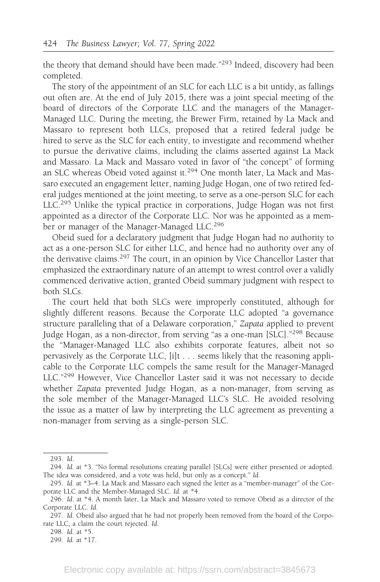the theory that demand should have been made."293 Indeed, discovery had been completed.

The story of the appointment of an SLC for each LLC is a bit untidy, as fallings out often are. At the end of July 2015, there was a joint special meeting of the board of directors of the Corporate LLC and the managers of the Manager-Managed LLC. During the meeting, the Brewer Firm, retained by La Mack and Massaro to represent both LLCs, proposed that a retired federal judge be hired to serve as the SLC for each entity, to investigate and recommend whether to pursue the derivative claims, including the claims asserted against La Mack and Massaro. La Mack and Massaro voted in favor of "the concept" of forming an SLC whereas Obeid voted against it.294 One month later, La Mack and Massaro executed an engagement letter, naming Judge Hogan, one of two retired federal judges mentioned at the joint meeting, to serve as a one-person SLC for each LLC.<sup>295</sup> Unlike the typical practice in corporations, Judge Hogan was not first appointed as a director of the Corporate LLC. Nor was he appointed as a member or manager of the Manager-Managed LLC.<sup>296</sup>

Obeid sued for a declaratory judgment that Judge Hogan had no authority to act as a one-person SLC for either LLC, and hence had no authority over any of the derivative claims.<sup>297</sup> The court, in an opinion by Vice Chancellor Laster that emphasized the extraordinary nature of an attempt to wrest control over a validly commenced derivative action, granted Obeid summary judgment with respect to both SLCs.

The court held that both SLCs were improperly constituted, although for slightly different reasons. Because the Corporate LLC adopted "a governance structure paralleling that of a Delaware corporation," Zapata applied to prevent Judge Hogan, as a non-director, from serving "as a one-man [SLC]."<sup>298</sup> Because the "Manager-Managed LLC also exhibits corporate features, albeit not so pervasively as the Corporate LLC, [i]t . . . seems likely that the reasoning applicable to the Corporate LLC compels the same result for the Manager-Managed LLC."<sup>299</sup> However, Vice Chancellor Laster said it was not necessary to decide whether Zapata prevented Judge Hogan, as a non-manager, from serving as the sole member of the Manager-Managed LLC's SLC. He avoided resolving the issue as a matter of law by interpreting the LLC agreement as preventing a non-manager from serving as a single-person SLC.

<sup>293.</sup> Id.

<sup>294.</sup> Id. at \*3. "No formal resolutions creating parallel [SLCs] were either presented or adopted. The idea was considered, and a vote was held, but only as a concept." Id.

<sup>295.</sup> Id. at \*3–4. La Mack and Massaro each signed the letter as a "member-manager" of the Corporate LLC and the Member-Managed SLC. Id. at \*4.

<sup>296.</sup> Id. at \*4. A month later, La Mack and Massaro voted to remove Obeid as a director of the Corporate LLC. Id.

<sup>297.</sup> Id. Obeid also argued that he had not properly been removed from the board of the Corporate LLC, a claim the court rejected. Id.

<sup>298.</sup> Id. at \*5.

<sup>299.</sup> Id. at \*17.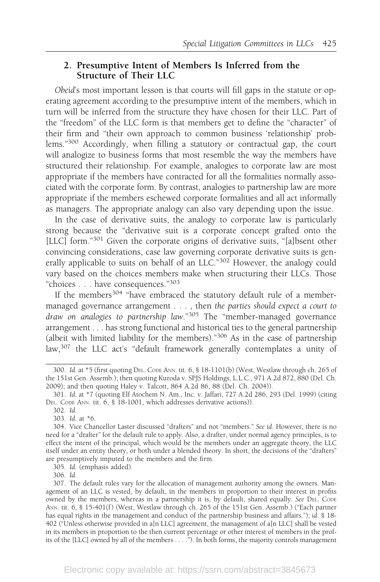### 2. Presumptive Intent of Members Is Inferred from the Structure of Their LLC

Obeid's most important lesson is that courts will fill gaps in the statute or operating agreement according to the presumptive intent of the members, which in turn will be inferred from the structure they have chosen for their LLC. Part of the "freedom" of the LLC form is that members get to define the "character" of their firm and "their own approach to common business 'relationship' problems."<sup>300</sup> Accordingly, when filling a statutory or contractual gap, the court will analogize to business forms that most resemble the way the members have structured their relationship. For example, analogies to corporate law are most appropriate if the members have contracted for all the formalities normally associated with the corporate form. By contrast, analogies to partnership law are more appropriate if the members eschewed corporate formalities and all act informally as managers. The appropriate analogy can also vary depending upon the issue.

In the case of derivative suits, the analogy to corporate law is particularly strong because the "derivative suit is a corporate concept grafted onto the [LLC] form."<sup>301</sup> Given the corporate origins of derivative suits, "[a]bsent other convincing considerations, case law governing corporate derivative suits is generally applicable to suits on behalf of an LLC."302 However, the analogy could vary based on the choices members make when structuring their LLCs. Those "choices . . . have consequences."<sup>303</sup>

If the members<sup>304</sup> "have embraced the statutory default rule of a membermanaged governance arrangement . . . , then the parties should expect a court to draw on analogies to partnership law."305 The "member-managed governance arrangement . . . has strong functional and historical ties to the general partnership (albeit with limited liability for the members)."306 As in the case of partnership law,<sup>307</sup> the LLC act's "default framework generally contemplates a unity of

305. Id. (emphasis added).

<sup>300.</sup> Id. at \*5 (first quoting DEL. CODE ANN. tit. 6, § 18-1101(b) (West, Westlaw through ch. 265 of the 151st Gen. Assemb.); then quoting Kuroda v. SPJS Holdings, L.L.C., 971 A.2d 872, 880 (Del. Ch. 2009); and then quoting Haley v. Talcott, 864 A.2d 86, 88 (Del. Ch. 2004)).

<sup>301.</sup> Id. at \*7 (quoting Elf Atochem N. Am., Inc. v. Jaffari, 727 A.2d 286, 293 (Del. 1999) (citing DEL. CODE ANN. tit. 6, § 18-1001, which addresses derivative actions)).

<sup>302.</sup> Id.

<sup>303.</sup> Id. at \*6.

<sup>304.</sup> Vice Chancellor Laster discussed "drafters" and not "members." See id. However, there is no need for a "drafter" for the default rule to apply. Also, a drafter, under normal agency principles, is to effect the intent of the principal, which would be the members under an aggregate theory, the LLC itself under an entity theory, or both under a blended theory. In short, the decisions of the "drafters" are presumptively imputed to the members and the firm.

<sup>307.</sup> The default rules vary for the allocation of management authority among the owners. Management of an LLC is vested, by default, in the members in proportion to their interest in profits owned by the members, whereas in a partnership it is, by default, shared equally. See DEL. CODE ANN. tit. 6, § 15-401(f) (West, Westlaw through ch. 265 of the 151st Gen. Assemb.) ("Each partner has equal rights in the management and conduct of the partnership business and affairs."); id. § 18- 402 ("Unless otherwise provided in a[n LLC] agreement, the management of a[n LLC] shall be vested in its members in proportion to the then current percentage or other interest of members in the profits of the [LLC] owned by all of the members . . . ."). In both forms, the majority controls management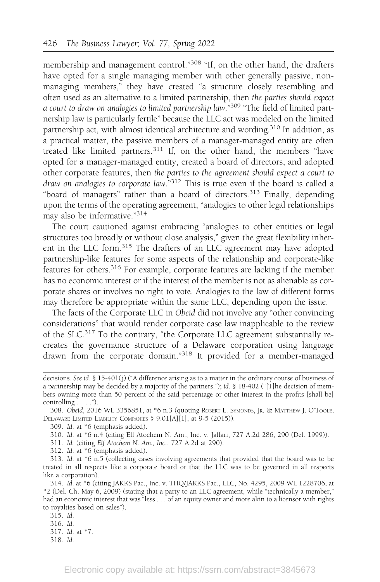membership and management control."<sup>308</sup> "If, on the other hand, the drafters have opted for a single managing member with other generally passive, nonmanaging members," they have created "a structure closely resembling and often used as an alternative to a limited partnership, then the parties should expect a court to draw on analogies to limited partnership law."309 "The field of limited partnership law is particularly fertile" because the LLC act was modeled on the limited partnership act, with almost identical architecture and wording.310 In addition, as a practical matter, the passive members of a manager-managed entity are often treated like limited partners.<sup>311</sup> If, on the other hand, the members "have opted for a manager-managed entity, created a board of directors, and adopted other corporate features, then the parties to the agreement should expect a court to draw on analogies to corporate law."312 This is true even if the board is called a "board of managers" rather than a board of directors.<sup>313</sup> Finally, depending upon the terms of the operating agreement, "analogies to other legal relationships may also be informative."<sup>314</sup>

The court cautioned against embracing "analogies to other entities or legal structures too broadly or without close analysis," given the great flexibility inherent in the LLC form.<sup>315</sup> The drafters of an LLC agreement may have adopted partnership-like features for some aspects of the relationship and corporate-like features for others.316 For example, corporate features are lacking if the member has no economic interest or if the interest of the member is not as alienable as corporate shares or involves no right to vote. Analogies to the law of different forms may therefore be appropriate within the same LLC, depending upon the issue.

The facts of the Corporate LLC in Obeid did not involve any "other convincing considerations" that would render corporate case law inapplicable to the review of the SLC.<sup>317</sup> To the contrary, "the Corporate LLC agreement substantially recreates the governance structure of a Delaware corporation using language drawn from the corporate domain."<sup>318</sup> It provided for a member-managed

- 311. Id. (citing Elf Atochem N. Am., Inc., 727 A.2d at 290).
- 312. Id. at \*6 (emphasis added).

decisions. See id. § 15-401(j) ("A difference arising as to a matter in the ordinary course of business of a partnership may be decided by a majority of the partners."); id. § 18-402 ("[T]he decision of members owning more than 50 percent of the said percentage or other interest in the profits [shall be] controlling . . . .").

<sup>308.</sup> Obeid, 2016 WL 3356851, at \*6 n.3 (quoting ROBERT L. SYMONDS, JR.&MATTHEW J. O'TOOLE, DELAWARE LIMITED LIABILITY COMPANIES § 9.01[A][1], at 9-5 (2015)).

<sup>309.</sup> Id. at \*6 (emphasis added).

<sup>310.</sup> Id. at \*6 n.4 (citing Elf Atochem N. Am., Inc. v. Jaffari, 727 A.2d 286, 290 (Del. 1999)).

<sup>313.</sup> Id. at \*6 n.5 (collecting cases involving agreements that provided that the board was to be treated in all respects like a corporate board or that the LLC was to be governed in all respects like a corporation).

<sup>314.</sup> Id. at \*6 (citing JAKKS Pac., Inc. v. THQ/JAKKS Pac., LLC, No. 4295, 2009 WL 1228706, at \*2 (Del. Ch. May 6, 2009) (stating that a party to an LLC agreement, while "technically a member," had an economic interest that was "less . . . of an equity owner and more akin to a licensor with rights to royalties based on sales").

<sup>315.</sup> Id.

<sup>316.</sup> Id.

<sup>317.</sup> Id. at \*7.

<sup>318.</sup> Id.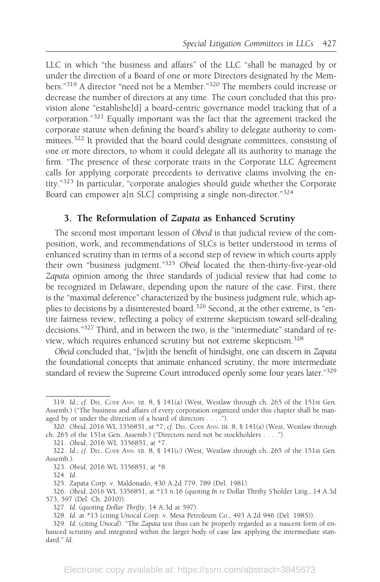LLC in which "the business and affairs" of the LLC "shall be managed by or under the direction of a Board of one or more Directors designated by the Members."<sup>319</sup> A director "need not be a Member."320 The members could increase or decrease the number of directors at any time. The court concluded that this provision alone "establishe[d] a board-centric governance model tracking that of a corporation."<sup>321</sup> Equally important was the fact that the agreement tracked the corporate statute when defining the board's ability to delegate authority to committees.<sup>322</sup> It provided that the board could designate committees, consisting of one or more directors, to whom it could delegate all its authority to manage the firm. "The presence of these corporate traits in the Corporate LLC Agreement calls for applying corporate precedents to derivative claims involving the entity."<sup>323</sup> In particular, "corporate analogies should guide whether the Corporate Board can empower a[n SLC] comprising a single non-director."<sup>324</sup>

### 3. The Reformulation of Zapata as Enhanced Scrutiny

The second most important lesson of Obeid is that judicial review of the composition, work, and recommendations of SLCs is better understood in terms of enhanced scrutiny than in terms of a second step of review in which courts apply their own "business judgment."325 Obeid located the then-thirty-five-year-old Zapata opinion among the three standards of judicial review that had come to be recognized in Delaware, depending upon the nature of the case. First, there is the "maximal deference" characterized by the business judgment rule, which applies to decisions by a disinterested board.<sup>326</sup> Second, at the other extreme, is "entire fairness review, reflecting a policy of extreme skepticism toward self-dealing decisions."327 Third, and in between the two, is the "intermediate" standard of review, which requires enhanced scrutiny but not extreme skepticism.328

Obeid concluded that, "[w]ith the benefit of hindsight, one can discern in Zapata the foundational concepts that animate enhanced scrutiny, the more intermediate standard of review the Supreme Court introduced openly some four years later."329

<sup>319.</sup> Id.; cf. DEL. CODE ANN. tit. 8, § 141(a) (West, Westlaw through ch. 265 of the 151st Gen. Assemb.) ("The business and affairs of every corporation organized under this chapter shall be managed by or under the direction of a board of directors . . . .").

<sup>320.</sup> Obeid, 2016 WL 3356851, at \*7; cf. DEL. CODE ANN. tit. 8, § 141(a) (West, Westlaw through ch. 265 of the 151st Gen. Assemb.) ("Directors need not be stockholders . . . .").

<sup>321.</sup> Obeid, 2016 WL 3356851, at \*7.

<sup>322.</sup> Id.; cf. DEL. CODE ANN. tit. 8, § 141(c) (West, Westlaw through ch. 265 of the 151st Gen. Assemb.).

<sup>323.</sup> Obeid, 2016 WL 3356851, at \*8.

<sup>324.</sup> Id.

<sup>325.</sup> Zapata Corp. v. Maldonado, 430 A.2d 779, 789 (Del. 1981).

<sup>326.</sup> Obeid, 2016 WL 3356851, at \*13 n.16 (quoting In re Dollar Thrifty S'holder Litig., 14 A.3d 573, 597 (Del. Ch. 2010)).

<sup>327.</sup> Id. (quoting Dollar Thrifty, 14 A.3d at 597).

<sup>328.</sup> Id. at \*13 (citing Unocal Corp. v. Mesa Petroleum Co., 493 A.2d 946 (Del. 1985)).

<sup>329.</sup> Id. (citing Unocal). "The Zapata test thus can be properly regarded as a nascent form of enhanced scrutiny and integrated within the larger body of case law applying the intermediate standard." Id.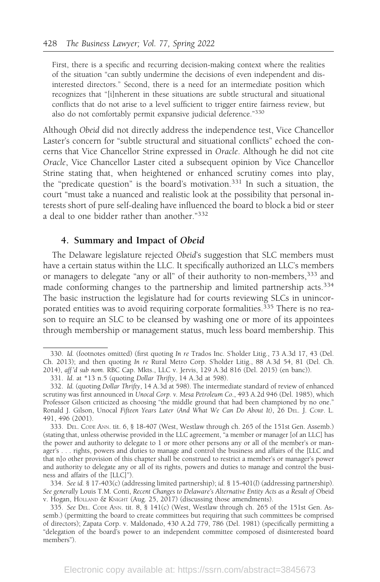First, there is a specific and recurring decision-making context where the realities of the situation "can subtly undermine the decisions of even independent and disinterested directors." Second, there is a need for an intermediate position which recognizes that "[i]nherent in these situations are subtle structural and situational conflicts that do not arise to a level sufficient to trigger entire fairness review, but also do not comfortably permit expansive judicial deference."<sup>330</sup>

Although Obeid did not directly address the independence test, Vice Chancellor Laster's concern for "subtle structural and situational conflicts" echoed the concerns that Vice Chancellor Strine expressed in Oracle. Although he did not cite Oracle, Vice Chancellor Laster cited a subsequent opinion by Vice Chancellor Strine stating that, when heightened or enhanced scrutiny comes into play, the "predicate question" is the board's motivation.<sup>331</sup> In such a situation, the court "must take a nuanced and realistic look at the possibility that personal interests short of pure self-dealing have influenced the board to block a bid or steer a deal to one bidder rather than another."<sup>332</sup>

### 4. Summary and Impact of Obeid

The Delaware legislature rejected Obeid's suggestion that SLC members must have a certain status within the LLC. It specifically authorized an LLC's members or managers to delegate "any or all" of their authority to non-members,<sup>333</sup> and made conforming changes to the partnership and limited partnership acts.<sup>334</sup> The basic instruction the legislature had for courts reviewing SLCs in unincorporated entities was to avoid requiring corporate formalities.<sup>335</sup> There is no reason to require an SLC to be cleansed by washing one or more of its appointees through membership or management status, much less board membership. This

<sup>330.</sup> Id. (footnotes omitted) (first quoting In re Trados Inc. S'holder Litig., 73 A.3d 17, 43 (Del. Ch. 2013); and then quoting In re Rural Metro Corp. S'holder Litig., 88 A.3d 54, 81 (Del. Ch. 2014), aff 'd sub nom. RBC Cap. Mkts., LLC v. Jervis, 129 A.3d 816 (Del. 2015) (en banc)).

<sup>331.</sup> Id. at \*13 n.5 (quoting Dollar Thrifty, 14 A.3d at 598).

<sup>332.</sup> Id. (quoting Dollar Thrifty, 14 A.3d at 598). The intermediate standard of review of enhanced scrutiny was first announced in Unocal Corp. v. Mesa Petroleum Co., 493 A.2d 946 (Del. 1985), which Professor Gilson criticized as choosing "the middle ground that had been championed by no one." Ronald J. Gilson, Unocal Fifteen Years Later (And What We Can Do About It), 26 DEL. J. CORP. L. 491, 496 (2001).

<sup>333.</sup> DEL. CODE ANN. tit. 6, § 18-407 (West, Westlaw through ch. 265 of the 151st Gen. Assemb.) (stating that, unless otherwise provided in the LLC agreement, "a member or manager [of an LLC] has the power and authority to delegate to 1 or more other persons any or all of the member's or manager's . . . rights, powers and duties to manage and control the business and affairs of the [LLC and that n]o other provision of this chapter shall be construed to restrict a member's or manager's power and authority to delegate any or all of its rights, powers and duties to manage and control the business and affairs of the [LLC]").

<sup>334.</sup> See id. § 17-403(c) (addressing limited partnership); id. § 15-401(l) (addressing partnership). See generally Louis T.M. Conti, Recent Changes to Delaware's Alternative Entity Acts as a Result of Obeid v. Hogan, HOLLAND & KNIGHT (Aug. 25, 2017) (discussing those amendments).

<sup>335.</sup> See DEL. CODE ANN. tit. 8, § 141(c) (West, Westlaw through ch. 265 of the 151st Gen. Assemb.) (permitting the board to create committees but requiring that such committees be comprised of directors); Zapata Corp. v. Maldonado, 430 A.2d 779, 786 (Del. 1981) (specifically permitting a "delegation of the board's power to an independent committee composed of disinterested board members").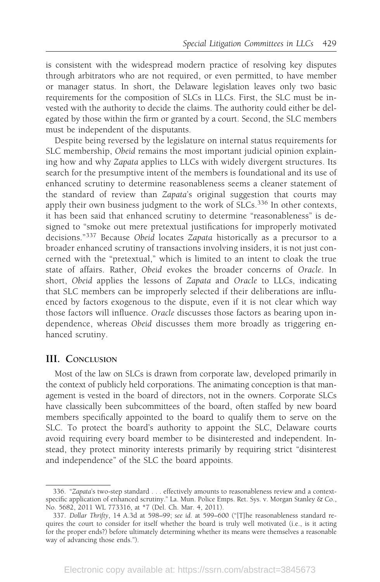is consistent with the widespread modern practice of resolving key disputes through arbitrators who are not required, or even permitted, to have member or manager status. In short, the Delaware legislation leaves only two basic requirements for the composition of SLCs in LLCs. First, the SLC must be invested with the authority to decide the claims. The authority could either be delegated by those within the firm or granted by a court. Second, the SLC members must be independent of the disputants.

Despite being reversed by the legislature on internal status requirements for SLC membership, Obeid remains the most important judicial opinion explaining how and why Zapata applies to LLCs with widely divergent structures. Its search for the presumptive intent of the members is foundational and its use of enhanced scrutiny to determine reasonableness seems a cleaner statement of the standard of review than Zapata's original suggestion that courts may apply their own business judgment to the work of SLCs.<sup>336</sup> In other contexts, it has been said that enhanced scrutiny to determine "reasonableness" is designed to "smoke out mere pretextual justifications for improperly motivated decisions."<sup>337</sup> Because Obeid locates Zapata historically as a precursor to a broader enhanced scrutiny of transactions involving insiders, it is not just concerned with the "pretextual," which is limited to an intent to cloak the true state of affairs. Rather, Obeid evokes the broader concerns of Oracle. In short, Obeid applies the lessons of Zapata and Oracle to LLCs, indicating that SLC members can be improperly selected if their deliberations are influenced by factors exogenous to the dispute, even if it is not clear which way those factors will influence. Oracle discusses those factors as bearing upon independence, whereas Obeid discusses them more broadly as triggering enhanced scrutiny.

### III. CONCLUSION

Most of the law on SLCs is drawn from corporate law, developed primarily in the context of publicly held corporations. The animating conception is that management is vested in the board of directors, not in the owners. Corporate SLCs have classically been subcommittees of the board, often staffed by new board members specifically appointed to the board to qualify them to serve on the SLC. To protect the board's authority to appoint the SLC, Delaware courts avoid requiring every board member to be disinterested and independent. Instead, they protect minority interests primarily by requiring strict "disinterest and independence" of the SLC the board appoints.

<sup>336. &</sup>quot;Zapata's two-step standard . . . effectively amounts to reasonableness review and a contextspecific application of enhanced scrutiny." La. Mun. Police Emps. Ret. Sys. v. Morgan Stanley & Co., No. 5682, 2011 WL 773316, at \*7 (Del. Ch. Mar. 4, 2011).

<sup>337.</sup> Dollar Thrifty, 14 A.3d at 598–99; see id. at 599–600 ("[T]he reasonableness standard requires the court to consider for itself whether the board is truly well motivated (i.e., is it acting for the proper ends?) before ultimately determining whether its means were themselves a reasonable way of advancing those ends.").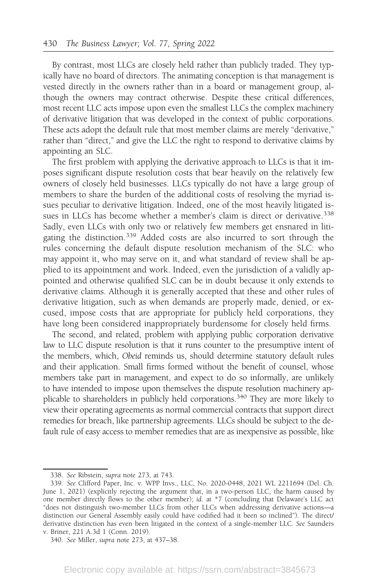By contrast, most LLCs are closely held rather than publicly traded. They typically have no board of directors. The animating conception is that management is vested directly in the owners rather than in a board or management group, although the owners may contract otherwise. Despite these critical differences, most recent LLC acts impose upon even the smallest LLCs the complex machinery of derivative litigation that was developed in the context of public corporations. These acts adopt the default rule that most member claims are merely "derivative," rather than "direct," and give the LLC the right to respond to derivative claims by appointing an SLC.

The first problem with applying the derivative approach to LLCs is that it imposes significant dispute resolution costs that bear heavily on the relatively few owners of closely held businesses. LLCs typically do not have a large group of members to share the burden of the additional costs of resolving the myriad issues peculiar to derivative litigation. Indeed, one of the most heavily litigated issues in LLCs has become whether a member's claim is direct or derivative.<sup>338</sup> Sadly, even LLCs with only two or relatively few members get ensnared in litigating the distinction.<sup>339</sup> Added costs are also incurred to sort through the rules concerning the default dispute resolution mechanism of the SLC: who may appoint it, who may serve on it, and what standard of review shall be applied to its appointment and work. Indeed, even the jurisdiction of a validly appointed and otherwise qualified SLC can be in doubt because it only extends to derivative claims. Although it is generally accepted that these and other rules of derivative litigation, such as when demands are properly made, denied, or excused, impose costs that are appropriate for publicly held corporations, they have long been considered inappropriately burdensome for closely held firms.

The second, and related, problem with applying public corporation derivative law to LLC dispute resolution is that it runs counter to the presumptive intent of the members, which, Obeid reminds us, should determine statutory default rules and their application. Small firms formed without the benefit of counsel, whose members take part in management, and expect to do so informally, are unlikely to have intended to impose upon themselves the dispute resolution machinery applicable to shareholders in publicly held corporations.<sup>340</sup> They are more likely to view their operating agreements as normal commercial contracts that support direct remedies for breach, like partnership agreements. LLCs should be subject to the default rule of easy access to member remedies that are as inexpensive as possible, like

<sup>338.</sup> See Ribstein, supra note 273, at 743.

<sup>339.</sup> See Clifford Paper, Inc. v. WPP Invs., LLC, No. 2020-0448, 2021 WL 2211694 (Del. Ch. June 1, 2021) (explicitly rejecting the argument that, in a two-person LLC, the harm caused by one member directly flows to the other member); id. at \*7 (concluding that Delaware's LLC act "does not distinguish two-member LLCs from other LLCs when addressing derivative actions—a distinction our General Assembly easily could have codified had it been so inclined"). The direct/ derivative distinction has even been litigated in the context of a single-member LLC. See Saunders v. Briner, 221 A.3d 1 (Conn. 2019).

<sup>340.</sup> See Miller, supra note 273, at 437–38.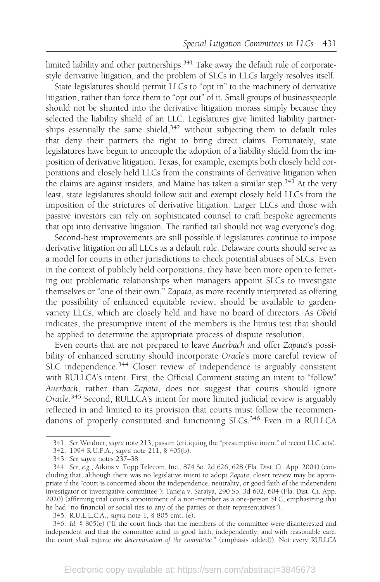limited liability and other partnerships.<sup>341</sup> Take away the default rule of corporatestyle derivative litigation, and the problem of SLCs in LLCs largely resolves itself.

State legislatures should permit LLCs to "opt in" to the machinery of derivative litigation, rather than force them to "opt out" of it. Small groups of businesspeople should not be shunted into the derivative litigation morass simply because they selected the liability shield of an LLC. Legislatures give limited liability partnerships essentially the same shield,<sup>342</sup> without subjecting them to default rules that deny their partners the right to bring direct claims. Fortunately, state legislatures have begun to uncouple the adoption of a liability shield from the imposition of derivative litigation. Texas, for example, exempts both closely held corporations and closely held LLCs from the constraints of derivative litigation when the claims are against insiders, and Maine has taken a similar step.<sup>343</sup> At the very least, state legislatures should follow suit and exempt closely held LLCs from the imposition of the strictures of derivative litigation. Larger LLCs and those with passive investors can rely on sophisticated counsel to craft bespoke agreements that opt into derivative litigation. The rarified tail should not wag everyone's dog.

Second-best improvements are still possible if legislatures continue to impose derivative litigation on all LLCs as a default rule. Delaware courts should serve as a model for courts in other jurisdictions to check potential abuses of SLCs. Even in the context of publicly held corporations, they have been more open to ferreting out problematic relationships when managers appoint SLCs to investigate themselves or "one of their own." Zapata, as more recently interpreted as offering the possibility of enhanced equitable review, should be available to gardenvariety LLCs, which are closely held and have no board of directors. As Obeid indicates, the presumptive intent of the members is the litmus test that should be applied to determine the appropriate process of dispute resolution.

Even courts that are not prepared to leave Auerbach and offer Zapata's possibility of enhanced scrutiny should incorporate Oracle's more careful review of SLC independence.<sup>344</sup> Closer review of independence is arguably consistent with RULLCA's intent. First, the Official Comment stating an intent to "follow" Auerbach, rather than Zapata, does not suggest that courts should ignore Oracle.<sup>345</sup> Second, RULLCA's intent for more limited judicial review is arguably reflected in and limited to its provision that courts must follow the recommendations of properly constituted and functioning SLCs.<sup>346</sup> Even in a RULLCA

<sup>341.</sup> See Weidner, supra note 213, passim (critiquing the "presumptive intent" of recent LLC acts).

<sup>342. 1994</sup> R.U.P.A., supra note 211, § 405(b).

<sup>343.</sup> See supra notes 237–38.

<sup>344.</sup> See, e.g., Atkins v. Topp Telecom, Inc., 874 So. 2d 626, 628 (Fla. Dist. Ct. App. 2004) (concluding that, although there was no legislative intent to adopt Zapata, closer review may be appropriate if the "court is concerned about the independence, neutrality, or good faith of the independent investigator or investigative committee"); Taneja v. Saraiya, 290 So. 3d 602, 604 (Fla. Dist. Ct. App. 2020) (affirming trial court's appointment of a non-member as a one-person SLC, emphasizing that he had "no financial or social ties to any of the parties or their representatives").

<sup>345.</sup> R.U.L.L.C.A., supra note 1, § 805 cmt. (e).

<sup>346.</sup> Id. § 805(e) ("If the court finds that the members of the committee were disinterested and independent and that the committee acted in good faith, independently, and with reasonable care, the court shall enforce the determination of the committee." (emphasis added)). Not every RULLCA